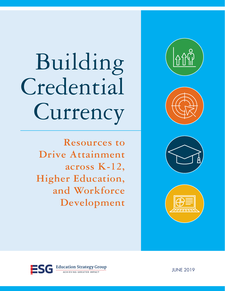# Building Credential Currency









**Resources to Drive Attainment across K-12, Higher Education, and Workforce Development**

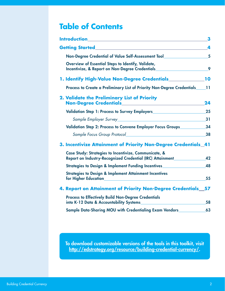## **Table of Contents**

| <b>Introduction</b>                                                                                                                                                                        | 3  |
|--------------------------------------------------------------------------------------------------------------------------------------------------------------------------------------------|----|
| <b>Getting Started</b>                                                                                                                                                                     | 4  |
| Non-Degree Credential of Value Self-Assessment Tool                                                                                                                                        | 5  |
| Overview of Essential Steps to Identify, Validate,<br>Incentivize, & Report on Non-Degree Credentials_                                                                                     | 9  |
| <b>1. Identify High-Value Non-Degree Credentials</b>                                                                                                                                       | 10 |
| Process to Create a Preliminary List of Priority Non-Degree Credentials                                                                                                                    | 11 |
| 2. Validate the Preliminary List of Priority                                                                                                                                               | 24 |
| Validation Step 1: Process to Survey Employers__________________________________                                                                                                           | 25 |
|                                                                                                                                                                                            | 31 |
| Validation Step 2: Process to Convene Employer Focus Groups                                                                                                                                | 34 |
|                                                                                                                                                                                            | 38 |
| 3. Incentivize Attainment of Priority Non-Degree Credentials_41                                                                                                                            |    |
| Case Study: Strategies to Incentivize, Communicate, &                                                                                                                                      |    |
| Report on Industry-Recognized Credential (IRC) Attainment                                                                                                                                  | 42 |
| Strategies to Design & Implement Funding Incentives                                                                                                                                        | 48 |
| <b>Strategies to Design &amp; Implement Attainment Incentives</b><br>for Higher Education <b>Executive Service Service Service Service Service Service Service Service Service Service</b> | 55 |
| 4. Report on Attainment of Priority Non-Degree Credentials 57                                                                                                                              |    |
| <b>Process to Effectively Build Non-Degree Credentials</b><br>into K-12 Data & Accountability Systems <b>Exercise Accountability</b> Systems                                               | 58 |
| Sample Data-Sharing MOU with Credentialing Exam Vendors                                                                                                                                    | 63 |

To download customizable versions of the tools in this toolkit, visit <http://edstrategy.org/resource/building-credential-currency/>.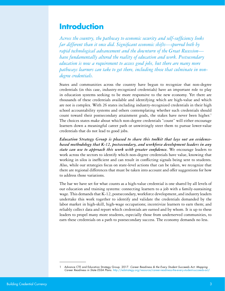## <span id="page-2-0"></span>**Introduction**

*Across the country, the pathway to economic security and self-sufficiency looks far different than it once did. Significant economic shifts—spurred both by rapid technological advancement and the downturn of the Great Recession have fundamentally altered the reality of education and work. Postsecondary education is now a requirement to access good jobs, but there are many more pathways learners can take to get there, including those that culminate in nondegree credentials.*

States and communities across the country have begun to recognize that non-degree credentials (in this case, industry-recognized credentials) have an important role to play in education systems seeking to be more responsive to the new economy. Yet there are thousands of these credentials available and identifying which are high-value and which are not is complex. With 26 states including industry-recognized credentials in their high school accountability systems and others contemplating whether such credentials should count toward their postsecondary attainment goals, the stakes have never been higher.<sup>1</sup> The choices states make about which non-degree credentials "count" will either encourage learners down a meaningful career path or unwittingly steer them to pursue lower-value credentials that do not lead to good jobs.

*Education Strategy Group is pleased to share this toolkit that lays out an evidencebased methodology that K-12, postsecondary, and workforce development leaders in any state can use to approach this work with greater confidence*. We encourage leaders to work across the sectors to identify which non-degree credentials have value, knowing that working in silos is inefficient and can result in conflicting signals being sent to students. Also, while our strategies focus on state-level actions that can be taken, we recognize that there are regional differences that must be taken into account and offer suggestions for how to address those variations.

The bar we have set for what counts as a high-value credential is one shared by all levels of our education and training systems: connecting learners to a job with a family-sustaining wage. This demands that K-12, postsecondary, workforce development, and industry leaders undertake this work together to identify and validate the credentials demanded by the labor market in high-skill, high-wage occupations; incentivize learners to earn them; and reliably collect data and report which credentials are earned and by whom. It is up to these leaders to propel many more students, especially those from underserved communities, to earn these credentials on a path to postsecondary success. The economy demands no less.

<sup>1</sup> Advance CTE and Education Strategy Group. 2017. *Career Readiness & the Every Student Succeeds Act: Mapping Career Readiness in State ESSA Plans.* <http://edstrategy.org/resource/career-readiness-the-every-student-succeeds-act/>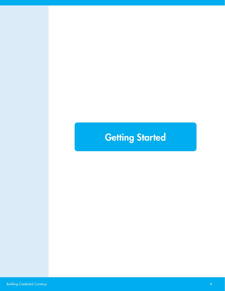## <span id="page-3-0"></span>**Getting Started**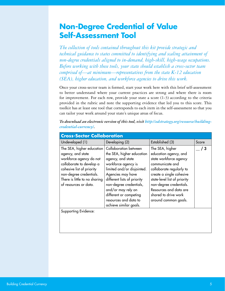## <span id="page-4-0"></span>**Non-Degree Credential of Value Self-Assessment Tool**

*The collection of tools contained throughout this kit provide strategic and technical guidance to states committed to identifying and scaling attainment of non-degree credentials aligned to in-demand, high-skill, high-wage occupations. Before working with these tools, your state should establish a cross-sector team comprised of—at minimum—representatives from the state K-12 education (SEA), higher education, and workforce agencies to drive this work.* 

Once your cross-sector team is formed, start your work here with this brief self-assessment to better understand where your current practices are strong and where there is room for improvement. For each row, provide your state a score (1-3) according to the criteria provided in the rubric and note the supporting evidence that led you to this score. This toolkit has at least one tool that corresponds to each item in the self-assessment so that you can tailor your work around your state's unique areas of focus.

| <b>Cross-Sector Collaboration</b>                                                                                                                                                                                       |                                                                                                                                                                                                                                                                                                                |                                                                                                                                                                                                                                                                                    |              |
|-------------------------------------------------------------------------------------------------------------------------------------------------------------------------------------------------------------------------|----------------------------------------------------------------------------------------------------------------------------------------------------------------------------------------------------------------------------------------------------------------------------------------------------------------|------------------------------------------------------------------------------------------------------------------------------------------------------------------------------------------------------------------------------------------------------------------------------------|--------------|
| Undeveloped (1)                                                                                                                                                                                                         | Developing (2)                                                                                                                                                                                                                                                                                                 | Established (3)                                                                                                                                                                                                                                                                    | Score        |
| The SEA, higher education<br>agency, and state<br>workforce agency do not<br>collaborate to develop a<br>cohesive list of priority<br>non-degree credentials.<br>There is little to no sharing<br>of resources or data. | Collaboration between<br>the SEA, higher education<br>agency, and state<br>workforce agency is<br>limited and/or disjointed.<br>Agencies may have<br>different lists of priority<br>non-degree credentials,<br>and/or may rely on<br>different or competing<br>resources and data to<br>achieve similar goals. | The SEA, higher<br>education agency, and<br>state workforce agency<br>communicate and<br>collaborate regularly to<br>create a single cohesive<br>state-level list of priority<br>non-degree credentials.<br>Resources and data are<br>shared to drive work<br>around common goals. | $\mathbf{3}$ |
| Supporting Evidence:                                                                                                                                                                                                    |                                                                                                                                                                                                                                                                                                                |                                                                                                                                                                                                                                                                                    |              |

*To download an electronic version of this tool, visit [http://edstrategy.org/resource/building](http://edstrategy.org/resource/building-credential-currency/)[credential-currency/.](http://edstrategy.org/resource/building-credential-currency/)*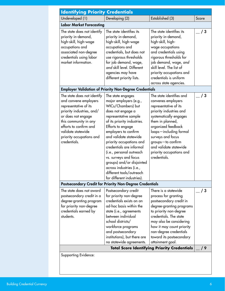| <b>Identifying Priority Credentials</b>                                                                                                                                                                                                               |                                                                                                                                                                                                                                                                                                                                                                                                                                                       |                                                                                                                                                                                                                                                                                                                  |       |
|-------------------------------------------------------------------------------------------------------------------------------------------------------------------------------------------------------------------------------------------------------|-------------------------------------------------------------------------------------------------------------------------------------------------------------------------------------------------------------------------------------------------------------------------------------------------------------------------------------------------------------------------------------------------------------------------------------------------------|------------------------------------------------------------------------------------------------------------------------------------------------------------------------------------------------------------------------------------------------------------------------------------------------------------------|-------|
| Undeveloped (1)                                                                                                                                                                                                                                       | Developing (2)                                                                                                                                                                                                                                                                                                                                                                                                                                        | Established (3)                                                                                                                                                                                                                                                                                                  | Score |
| <b>Labor Market Forecasting</b>                                                                                                                                                                                                                       |                                                                                                                                                                                                                                                                                                                                                                                                                                                       |                                                                                                                                                                                                                                                                                                                  |       |
| The state does not identify<br>priority in-demand,<br>high-skill, high-wage<br>occupations and<br>associated non-degree<br>credentials using labor<br>market information.                                                                             | The state identifies its<br>priority in-demand,<br>high-skill, high-wage<br>occupations and<br>credentials, but does not<br>use rigorous thresholds<br>for job demand, wage,<br>and skill level. Different<br>agencies may have<br>different priority lists.                                                                                                                                                                                          | The state identifies its<br>priority in-demand,<br>high-skill, high-<br>wage occupations<br>and credentials using<br>rigorous thresholds for<br>job demand, wage, and<br>skill level. The list of<br>priority occupations and<br>credentials is uniform<br>across state agencies.                                | /3    |
|                                                                                                                                                                                                                                                       | <b>Employer Validation of Priority Non-Degree Credentials</b>                                                                                                                                                                                                                                                                                                                                                                                         |                                                                                                                                                                                                                                                                                                                  |       |
| The state does not identify<br>and convene employers<br>representative of its<br>priority industries, and/<br>or does not engage<br>this community in any<br>efforts to confirm and<br>validate statewide<br>priority occupations and<br>credentials. | The state engages<br>major employers (e.g.,<br>WICs/Chambers) but<br>does not engage a<br>representative sample<br>of its priority industries.<br>Efforts to engage<br>employers to confirm<br>and validate statewide<br>priority occupations and<br>credentials are informal<br>(i.e., personal outreach<br>vs. surveys and focus<br>groups) and/or disjointed<br>across industries (i.e.,<br>different tools/outreach<br>for different industries). | The state identifies and<br>convenes employers<br>representative of its<br>priority industries and<br>systematically engages<br>them in planned,<br>organized feedback<br>loops-including formal<br>surveys and focus<br>groups-to confirm<br>and validate statewide<br>priority occupations and<br>credentials. | / 3   |
|                                                                                                                                                                                                                                                       | <b>Postsecondary Credit for Priority Non-Degree Credentials</b>                                                                                                                                                                                                                                                                                                                                                                                       |                                                                                                                                                                                                                                                                                                                  |       |
| The state does not award<br>postsecondary credit in a<br>degree-granting program<br>for priority non-degree<br>credentials earned by<br>students.                                                                                                     | Postsecondary credit<br>for priority non-degree<br>credentials exists on an<br>ad-hoc basis within the<br>state (i.e., agreements<br>between individual<br>school districts/<br>workforce programs<br>and postsecondary<br>institutions), but there are<br>no statewide agreements.                                                                                                                                                                   | There is a statewide<br>process for granting<br>postsecondary credit in<br>degree-granting programs<br>to priority non-degree<br>credentials. The state<br>may also be considering<br>how it may count priority<br>non-degree credentials<br>toward its postsecondary<br>attainment goal.                        | / 3   |
|                                                                                                                                                                                                                                                       |                                                                                                                                                                                                                                                                                                                                                                                                                                                       | <b>Total Score Identifying Priority Credentials</b>                                                                                                                                                                                                                                                              | / 9   |
| Supporting Evidence:                                                                                                                                                                                                                                  |                                                                                                                                                                                                                                                                                                                                                                                                                                                       |                                                                                                                                                                                                                                                                                                                  |       |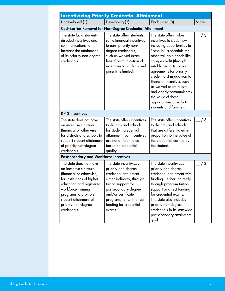| <b>Incentivizing Priority Credential Attainment</b>                                                                                                                                                                                                  |                                                                                                                                                                                                                                           |                                                                                                                                                                                                                                                                                                                                                                                                                              |       |
|------------------------------------------------------------------------------------------------------------------------------------------------------------------------------------------------------------------------------------------------------|-------------------------------------------------------------------------------------------------------------------------------------------------------------------------------------------------------------------------------------------|------------------------------------------------------------------------------------------------------------------------------------------------------------------------------------------------------------------------------------------------------------------------------------------------------------------------------------------------------------------------------------------------------------------------------|-------|
| Undeveloped (1)                                                                                                                                                                                                                                      | Developing (2)                                                                                                                                                                                                                            | Established (3)                                                                                                                                                                                                                                                                                                                                                                                                              | Score |
|                                                                                                                                                                                                                                                      | <b>Cost-Barrier Removal for Non-Degree Credential Attainment</b>                                                                                                                                                                          |                                                                                                                                                                                                                                                                                                                                                                                                                              |       |
| The state lacks student-<br>directed incentives and<br>communications to<br>increase the attainment<br>of its priority non-degree<br>credentials.                                                                                                    | The state offers students<br>some financial incentives<br>to earn priority non-<br>degree credentials,<br>such as waived exam<br>fees. Communication of<br>incentives to students and<br>parents is limited.                              | The state offers robust<br>incentives to students-<br>including opportunities to<br>"cash in" credentials for<br>other valuable goods like<br>college credit (through<br>established articulation<br>agreements for priority<br>credentials) in addition to<br>financial incentives such<br>as waived exam fees $-$<br>and clearly communicates<br>the value of these<br>opportunities directly to<br>students and families. | /3    |
| K-12 Incentives                                                                                                                                                                                                                                      |                                                                                                                                                                                                                                           |                                                                                                                                                                                                                                                                                                                                                                                                                              |       |
| The state does not have<br>an incentive structure<br>(financial or otherwise)<br>for districts and schools to<br>support student attainment<br>of priority non-degree<br>credentials.                                                                | The state offers incentives<br>to districts and schools<br>for student credential<br>attainment, but incentives<br>are not differentiated<br>based on credential<br>quality.                                                              | The state offers incentives<br>to districts and schools<br>that are differentiated in<br>proportion to the value of<br>the credential earned by<br>the student.                                                                                                                                                                                                                                                              | / 3   |
| <b>Postsecondary and Workforce Incentives</b>                                                                                                                                                                                                        |                                                                                                                                                                                                                                           |                                                                                                                                                                                                                                                                                                                                                                                                                              |       |
| The state does not have<br>an incentive structure<br>(financial or otherwise)<br>for institutions of higher<br>education and registered<br>workforce training<br>programs to promote<br>student attainment of<br>priority non-degree<br>credentials. | The state incentivizes<br>priority non-degree<br>credential attainment<br>either indirectly, through<br>tuition support for<br>postsecondary degree<br>and/or certificate<br>programs, or with direct<br>funding for credential<br>exams. | The state incentivizes<br>priority non-degree<br>credential attainment with<br>funding — either indirectly<br>through program tuition<br>support or direct funding<br>for credential exams.<br>The state also includes<br>priority non-degree<br>credentials in its statewide<br>postsecondary attainment<br>goal.                                                                                                           | / 3   |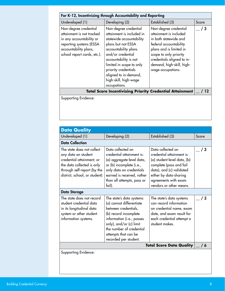| For K-12, Incentivizing through Accountability and Reporting                                                                                                      |                                                                                                                                                                                                                                                                                                  |                                                                                                                                                                                                                                         |       |
|-------------------------------------------------------------------------------------------------------------------------------------------------------------------|--------------------------------------------------------------------------------------------------------------------------------------------------------------------------------------------------------------------------------------------------------------------------------------------------|-----------------------------------------------------------------------------------------------------------------------------------------------------------------------------------------------------------------------------------------|-------|
| Undeveloped (1)                                                                                                                                                   | Developing (2)                                                                                                                                                                                                                                                                                   | Established (3)                                                                                                                                                                                                                         | Score |
| Non-degree credential<br>attainment is not tracked<br>in any accountability or<br>reporting systems (ESSA<br>accountability plans,<br>school report cards, etc.). | Non-degree credential<br>attainment is included in<br>statewide accountability<br>plans but not ESSA<br>accountability plans<br>and/or credential<br>accountability is not<br>limited in scope to only<br>priority credentials<br>aligned to in-demand,<br>high-skill, high-wage<br>occupations. | Non-degree credential<br>attainment is included<br>in both statewide and<br>federal accountability<br>plans and is limited in<br>scope to only priority<br>credentials aligned to in-<br>demand, high-skill, high-<br>wage occupations. | / 3   |
|                                                                                                                                                                   |                                                                                                                                                                                                                                                                                                  | <b>Total Score Incentivizing Priority Credential Attainment</b>                                                                                                                                                                         |       |
| Supporting Evidence:                                                                                                                                              |                                                                                                                                                                                                                                                                                                  |                                                                                                                                                                                                                                         |       |

| <b>Data Quality</b>                                                                                                                                                          |                                                                                                                                                                                                                                             |                                                                                                                                                                                                                   |       |
|------------------------------------------------------------------------------------------------------------------------------------------------------------------------------|---------------------------------------------------------------------------------------------------------------------------------------------------------------------------------------------------------------------------------------------|-------------------------------------------------------------------------------------------------------------------------------------------------------------------------------------------------------------------|-------|
| Undeveloped (1)                                                                                                                                                              | Developing (2)                                                                                                                                                                                                                              | Established (3)                                                                                                                                                                                                   | Score |
| <b>Data Collection</b>                                                                                                                                                       |                                                                                                                                                                                                                                             |                                                                                                                                                                                                                   |       |
| The state does not collect<br>any data on student<br>credential attainment; or<br>the data collected is only<br>through self-report (by the<br>district, school, or student) | Data collected on<br>credential attainment is:<br>(a) aggregate-level data,<br>or (b) incomplete (i.e.,<br>only data on credentials<br>earned is received, rather<br>than all attempts, pass or<br>fail).                                   | Data collected on<br>credential attainment is:<br>(a) student-level data, (b)<br>complete (pass and fail<br>data), and (c) validated<br>either by data-sharing<br>agreements with exam<br>vendors or other means. | / 3   |
| <b>Data Storage</b>                                                                                                                                                          |                                                                                                                                                                                                                                             |                                                                                                                                                                                                                   |       |
| The state does not record<br>student credential data<br>in its longitudinal data<br>system or other student<br>information systems.                                          | The state's data systems:<br>(a) cannot differentiate<br>between credentials,<br>(b) record incomplete<br>information (i.e., passes<br>only), and/or (c) limit<br>the number of credential<br>attempts that can be<br>recorded per student. | The state's data systems<br>can record information<br>on credential name, exam<br>date, and exam result for<br>each credential attempt a<br>student makes.                                                        | 3     |
| <b>Total Score Data Quality</b>                                                                                                                                              |                                                                                                                                                                                                                                             |                                                                                                                                                                                                                   | / 6   |
| Supporting Evidence:                                                                                                                                                         |                                                                                                                                                                                                                                             |                                                                                                                                                                                                                   |       |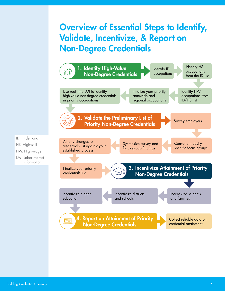## Overview of Essential Steps to Identify, Validate, Incentivize, & Report on Non-Degree Credentials



ID: In-demand HS: High-skill HW: High-wage

LMI: Labor market information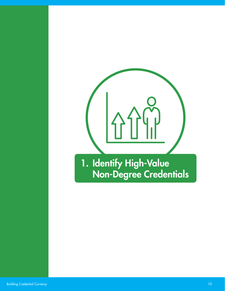

## <span id="page-9-0"></span>1. Identify High-Value Non-Degree Credentials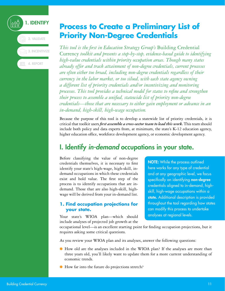

## <span id="page-10-0"></span>**Process to Create a Preliminary List of Priority Non-Degree Credentials**

*This tool is the first in Education Strategy Group's* Building Credential Currency *toolkit and presents a step-by-step, evidence-based guide to identifying high-value credentials within priority occupation areas. Though many states already offer and track attainment of non-degree credentials, current processes are often either too broad, including non-degree credentials regardless of their currency in the labor market, or too siloed, with each state agency owning a different list of priority credentials and/or incentivizing and monitoring processes. This tool provides a technical model for states to refine and strengthen their process to assemble a unified, statewide list of priority non-degree credentials—those that are necessary to either gain employment or advance in an in-demand, high-skill, high-wage occupation.*

Because the purpose of this tool is to develop a statewide list of priority credentials, it is critical that toolkit users *first assemble a cross-sector team to lead this work.* This team should include both policy and data experts from, at minimum, the state's K-12 education agency, higher education office, workforce development agency, or economic development agency.

## I. Identify *in-demand* occupations in your state.

Before classifying the value of non-degree credentials themselves, it is necessary to first identify your state's high-wage, high-skill, indemand occupations in which these credentials exist and hold value. The first step of the process is to identify occupations that are indemand. Those that are also high-skill, highwage will be derived from your in-demand list.

#### **1. Find occupation projections for your state.**

NOTE: While the process outlined here works for any type of credential and at any geographic level, we focus specifically on identifying non-degree credentials aligned to in-demand, highskill, high-wage occupations within a state. Additional description is provided throughout the tool regarding how states can modify this process to undertake analyses at regional levels.

Your state's WIOA plan—which should include analyses of projected job growth at the

occupational level—is an excellent starting point for finding occupation projections, but it requires asking some critical questions.

As you review your WIOA plan and its analyses, answer the following questions:

- How old are the analyses included in the WIOA plan? If the analyses are more than three years old, you'll likely want to update them for a more current understanding of economic trends.
- How far into the future do projections stretch?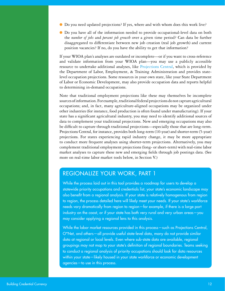- Do you need updated projections? If yes, where and with whom does this work live?
- Do you have all of the information needed to provide occupational-level data on both the *number of jobs* and *percent job growth* over a given time period? Can data be further disaggregated to differentiate between new job creation (real job growth) and current position vacancies? If no, do you have the ability to get that information?

If your WIOA plan's analyses are outdated or incomplete—or if you want to cross-reference and validate information from your WIOA plan—you may use a publicly accessible resource to undertake additional analyses, like [Projections Central](http://www.projectionscentral.com/), which is provided by the Department of Labor, Employment, & Training Administration and provides statelevel occupation projections. Some resources in your own state, like your State Department of Labor or Economic Development, may also provide occupation data and reports helpful to determining in-demand occupations.

Note that traditional employment projections like these may themselves be incomplete sources of information. For example, traditional federal projections do not capture agricultural occupations; and, in fact, many agriculture-aligned occupations may be organized under other industries (for instance, food production is often found under manufacturing). If your state has a significant agricultural industry, you may need to identify additional sources of data to complement your traditional projections. New and emerging occupations may also be difficult to capture through traditional projections—especially those that are long-term. Projections Central, for instance, provides both long-term (10-year) and shorter-term (5-year) projections. For states experiencing rapid industry change, it may be more appropriate to conduct more frequent analyses using shorter-term projections. Alternatively, you may complement traditional employment projections (long- or short-term) with real-time labor market analyses to capture these new and emerging fields through job postings data. (See more on real-time labor market tools below, in Section V.)

#### REGIONALIZE YOUR WORK, PART 1

While the process laid out in this tool provides a roadmap for users to develop a statewide priority occupations and credentials list, your state's economic landscape may also benefit from a regional analysis. If your state is relatively homogenous from region to region, the process detailed here will likely meet your needs. If your state's workforce needs vary dramatically from region to region—for example, if there is a large port industry on the coast, or if your state has both very rural and very urban areas—you may consider applying a regional lens to this analysis.

While the labor market resources provided in this process—such as Projections Central, O\*Net, and others—all provide useful state-level data, many do not provide similar data at regional or local levels. Even where sub-state data are available, regional groupings may not map to your state's definition of regional boundaries. Teams seeking to conduct a regional analysis of priority occupations should look for data resources within your state—likely housed in your state workforce or economic development agencies—to use in this process.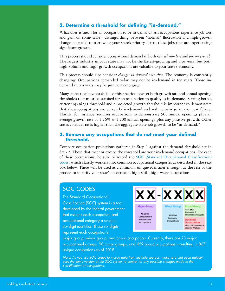#### **2. Determine a threshold for defining "in-demand."**

What does it mean for an occupation to be in-demand? All occupations experience job loss and gain on some scale—distinguishing between "normal" fluctuation and high-growth change is crucial to narrowing your state's priority list to those jobs that are experiencing significant growth.

This process should consider occupational demand in both *raw job numbers* and *percent growth*. The largest industry in your state may not be the fastest-growing and vice versa, but both high-volume and high-growth occupations are valuable to your state's economy.

This process should also consider *changes in demand over time*. The economy is constantly changing: Occupations demanded today may not be in-demand in ten years. Those indemand in ten years may be just now emerging.

Many states that have established this practice have set both growth rate and annual opening thresholds that must be satisfied for an occupation to qualify as in-demand. Setting both a current openings threshold and a projected growth threshold is important to demonstrate that these occupations are currently in-demand and will remain so in the near future. Florida, for instance, requires occupations to demonstrate 500 annual openings plus an average growth rate of 1.26% *or* 1,200 annual openings plus any positive growth. Other states consider rates higher than the aggregate state job growth to be "in-demand."

#### **3. Remove any occupations that do not meet your defined threshold.**

Compare occupation projections gathered in Step 1 against the demand threshold set in Step 2. Those that meet or exceed the threshold are your in-demand occupations. For each of these occupations, be sure to record the [SOC \(Standard Occupational Classification\)](https://www.bls.gov/soc/) [codes,](https://www.bls.gov/soc/) which classify workers into common occupational categories as described in the text box below. These will be used as a common, unique identifier throughout the rest of the process to identify your state's in-demand, high-skill, high-wage occupations.

#### SOC CODES

The Standard Occupational Classification (SOC) system is a tool developed by the federal government that assigns each occupation and occupational category a unique, six-digit identifier. These six digits represent each occupation's



major group, minor group, and broad occupation. Currently, there are 23 major occupational groups, 98 minor groups, and 459 broad occupations—resulting in 867 unique occupations as of 2018.

*Note: As you use SOC codes to merge data from multiple sources, make sure that each dataset uses the same version of the SOC system to control for any possible changes made to the classification of occupations.*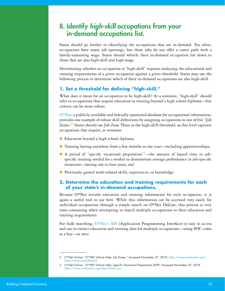## II. Identify *high-skill* occupations from your in-demand occupations list.

States should go further in identifying the occupations that are in-demand. Too often, occupations have many job openings, but those jobs do not offer a career path with a family-sustaining wage. States should whittle their in-demand occupation list down to those that are also high-skill and high-wage.

Determining whether an occupation is "high-skill" requires analyzing the educational and training requirements of a given occupation against a given threshold. States may use the following process to determine which of their in-demand occupations are also high-skill.

#### **1. Set a threshold for defining "high-skill."**

What does it mean for an occupation to be high-skill? At a *minimum*, "high-skill" should refer to occupations that require education or training beyond a high school diploma—but criteria can be more robust.

[O\\*Net,](https://www.onetonline.org/help/online/zones) a publicly-available and federally-sponsored database for occupational information, provides one example of robust skill definitions by assigning occupations to one of five "Job Zones."2 States should use Job Zone Three as the high-skill threshold, as this level captures occupations that require, at *minimum*:

- Education beyond a high school diploma;
- Training lasting anywhere from a few months to one year—including apprenticeships;
- A period of "specific vocational preparation"<sup>3</sup>—the amount of lapsed time in jobspecific training needed for a worker to demonstrate average performance in job-specific situations—lasting one to four years; *and*
- Previously gained work-related skills, experiences, or knowledge.

#### **2. Determine the education and training requirements for each of your state's in-demand occupations.**

Because O\*Net records education and training information for each occupation, it is again a useful tool to use here. While this information can be accessed very easily for individual occupations through a simple search on O\*Net OnLine, this process is very time-consuming when attempting to match multiple occupations to their education and training requirements.

For bulk matching, [O\\*Net's API](https://services.onetcenter.org/) (Application Programming Interface) is easy to access and use to extract education and training data for multiple occupations—using SOC codes as a key—at once.

<sup>2</sup> O\*Net OnLine. "O\*NET OnLine Help: Job Zones." Accessed November 27, 2018. [https://www.onetonline.org/](https://www.onetonline.org/help/online/zones#zone3) [help/online/zones#zone3](https://www.onetonline.org/help/online/zones#zone3)

<sup>3</sup> O\*Net OnLine. "O\*NET OnLine Help: Specific Vocational Preparation (SVP)" Accessed November 27, 2018. <https://www.onetonline.org/help/online/svp>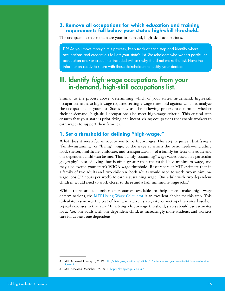#### **3. Remove all occupations for which education and training requirements fall below your state's high-skill threshold.**

The occupations that remain are your in-demand, high-skill occupations.

TIP! As you move through this process, keep track of each step and identify where occupations and credentials fall off your state's list. Stakeholders who want a particular occupation and/or credential included will ask why it did not make the list. Have the information ready to share with these stakeholders to justify your decision.

## III. Identify *high-wage* occupations from your in-demand, high-skill occupations list.

Similar to the process above, determining which of your state's in-demand, high-skill occupations are also high-wage requires setting a wage threshold against which to analyze the occupations on your list. States may use the following process to determine whether their in-demand, high-skill occupations also meet high-wage criteria. This critical step ensures that your state is prioritizing and incentivizing occupations that enable workers to earn wages to support their families.

#### **1. Set a threshold for defining "high-wage."**

What does it mean for an occupation to be high-wage? This step requires identifying a "family-sustaining" or "living" wage, or the wage at which the basic needs—including food, shelter, healthcare, childcare, and transportation—of a family (at least one adult and one dependent child) can be met. This "family-sustaining" wage varies based on a particular geography's cost of living, but is often greater than the established minimum wage, and may also exceed your state's WIOA wage threshold. Researchers at MIT estimate that in a family of two adults and two children, both adults would need to work two minimumwage jobs (77 hours per week) to earn a sustaining wage. One adult with two dependent children would need to work closer to three and a half minimum-wage jobs.<sup>4</sup>

While there are a number of resources available to help states make high-wage determinations, the [MIT Living Wage Calculator](http://livingwage.mit.edu/) is an excellent choice for this step. This Calculator estimates the cost of living in a given state, city, or metropolitan area based on typical expenses in that area.<sup>5</sup> In setting a high-wage threshold, states should use estimates for *at least* one adult with one dependent child, as increasingly more students and workers care for at least one dependent.

<sup>4</sup> MIT. Accessed January 8, 2019. [http://livingwage.mit.edu/articles/15-minimum-wage-can-an-individual-or-a-family](http://livingwage.mit.edu/articles/15-minimum-wage-can-an-individual-or-a-family-live-on-it)[live-on-it](http://livingwage.mit.edu/articles/15-minimum-wage-can-an-individual-or-a-family-live-on-it)

<sup>5</sup> MIT. Accessed December 19, 2018.<http://livingwage.mit.edu/>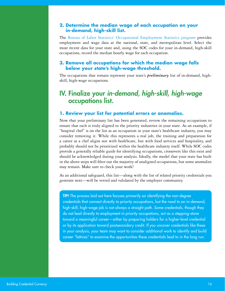#### **2. Determine the median wage of each occupation on your in-demand, high-skill list.**

The [Bureau of Labor Statistics' Occupational Employment Statistics program](https://www.bls.gov/oes/) provides employment and wage data at the national, state, and metropolitan level. Select the most recent data for your state and, using the SOC codes for your in-demand, high-skill occupations, record the median hourly wage for each occupation.

#### **3. Remove all occupations for which the median wage falls below your state's high-wage threshold.**

The occupations that remain represent your state's *preliminary* list of in-demand, highskill, high-wage occupations.

## IV. Finalize your *in-demand, high-skill, high-wage* occupations list.

#### **1. Review your list for potential errors or anomalies.**

Now that your preliminary list has been generated, review the remaining occupations to ensure that each is truly aligned to the priority industries in your state. As an example, if "hospital chef" is on the list as an occupation in your state's healthcare industry, you may consider removing it. While this represents a real job, the training and preparation for a career as a chef aligns not with healthcare, but with food services and hospitality, and probably should not be prioritized within the healthcare industry itself. While SOC codes provide a generally reliable guide for identifying occupations, crossovers like this exist and should be acknowledged during your analysis. Ideally, the model that your state has built in the above steps will filter out the majority of unaligned occupations, but some anomalies may remain. Make sure to check your work!

As an additional safeguard, this list—along with the list of related priority credentials you generate next—will be vetted and validated by the employer community.

TIP! The process laid out here focuses primarily on identifying the non-degree credentials that connect directly to priority occupations, but the road to an in-demand, high-skill, high-wage job is not always a straight path. Some credentials, though they do not lead directly to employment in priority occupations, act as a stepping-stone toward a meaningful career—either by preparing holders for a higher-level credential or by its application toward postsecondary credit. If you uncover credentials like these in your analysis, your team may want to consider additional work to identify and build career "lattices" to examine the opportunities these credentials lead to in the long run.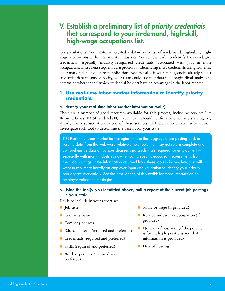## V. Establish a preliminary list of *priority credentials*  that correspond to your in-demand, high-skill, high-wage occupations list.

Congratulations! Your state has created a data-driven list of in-demand, high-skill, highwage occupations within its priority industries. You're now ready to identify the non-degree credentials—especially industry-recognized credentials—associated with jobs in those occupations. These next steps model a process for identifying these credentials using real-time labor market data and a direct application. Additionally, if your state agencies already collect credential data in some capacity, your team could use that data in a longitudinal analysis to determine whether and which credential holders have an advantage in the labor market.

#### **1. Use real-time labor market information to identify priority credentials.**

#### a. Identify your real-time labor market information tool(s).

There are a number of good resources available for this process, including services like Burning Glass, EMSI, and JobsEQ. Your team should confirm whether any state agency already has a subscription to one of these services. If there is no current subscription, investigate each tool to determine the best fit for your state.

TIP! Real-time labor market technologies—those that aggregate job posting and/or resume data from the web—are relatively new tools that may not return complete and comprehensive data on various degrees and credentials required for employment especially with many industries now removing specific education requirements from their job postings. If the information returned from these tools is incomplete, you will want to rely more heavily on employer input and validation to identify your priority non-degree credentials. See the next section of this toolkit for more information on employer validation strategies.

#### b. Using the tool(s) you identified above, pull a report of the current job postings in your state.

Fields to include in your report are:

- Job title
- Company name
- Company address
- Education level (required and preferred)
- Credentials (required and preferred)
- Skills (required and preferred)
- Work experience (required and preferred)
- Salary or wage (if provided)
- Related industry or occupation (if provided)
- Number of positions (if the posting is for multiple positions and that information is provided)
- Date of Posting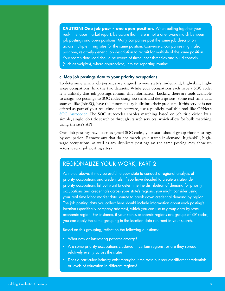**CAUTION! One job post ≠ one open position.** When pulling together your real-time labor market report, be aware that there is not a one-to-one match between job postings and open positions. Many companies post the same job description across multiple hiring sites for the same position. Conversely, companies might also post one, relatively generic job description to recruit for multiple of the same position. Your team's data lead should be aware of these inconsistencies and build controls (such as weights), where appropriate, into the reporting routine.

#### c. Map job postings data to your priority occupations.

To determine which job postings are aligned to your state's in-demand, high-skill, highwage occupations, link the two datasets. While your occupations each have a SOC code, it is unlikely that job postings contain this information. Luckily, there are tools available to assign job postings to SOC codes using job titles and descriptions. Some real-time data sources, like JobsEQ, have this functionality built into their products. If this service is not offered as part of your real-time data software, use a publicly-available tool like O\*Net's [SOC Autocoder.](https://www.onetsocautocoder.com/plus/onetmatch) The SOC Autocoder enables matching based on job title either by a simple, single job title search or through its web services, which allow for bulk matching using the site's API.

Once job postings have been assigned SOC codes, your state should group those postings by occupation. Remove any that do not match your state's in-demand, high-skill, highwage occupations, as well as any duplicate postings (as the same posting may show up across several job posting sites).

#### REGIONALIZE YOUR WORK, PART 2

As noted above, it may be useful to your state to conduct a regional analysis of priority occupations and credentials. If you have decided to create a statewide priority occupations list but want to determine the distribution of demand for priority occupations and credentials across your state's regions, you might consider using your real-time labor market data source to break down credential demand by region. The job posting data you collect here should include information about each posting's location (specifically company address), which you can use to group data by state economic region. For instance, if your state's economic regions are groups of ZIP codes, you can apply the same grouping to the location data returned in your search.

Based on this grouping, reflect on the following questions:

- What new or interesting patterns emerge?
- Are some priority occupations clustered in certain regions, or are they spread relatively evenly across the state?
- Does a particular industry exist throughout the state but request different credentials or levels of education in different regions?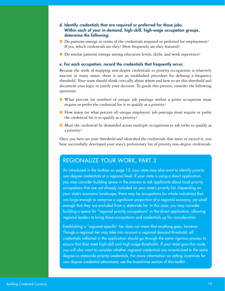#### d. Identify credentials that are required or preferred for those jobs. Within each of your in-demand, high-skill, high-wage occupation groups, determine the following:

- Do patterns emerge in terms of the credentials required or preferred for employment? If yes, which credentials are they? How frequently are they featured?
- Do similar patterns emerge among education levels, skills, and work experience?

#### e. For each occupation, record the credentials that frequently occur.

Because the work of mapping non-degree credentials to priority occupations is relatively nascent in many states, there is not an established precedent for defining a frequency threshold. Your team should think critically about where and how to set this threshold and document your logic to justify your decision. To guide this process, consider the following questions:

- What percent (or number) of unique job postings within a given occupation must require or prefer the credential for it to qualify as a priority?
- How many (or what percent of) unique employers' job postings must require or prefer the credential for it to qualify as a priority?
- Must the credential be demanded across multiple occupations or job titles to qualify as a priority?

Once you have set your threshold and identified the credentials that meet or exceed it, you have successfully developed your state's preliminary list of priority non-degree credentials.

#### REGIONALIZE YOUR WORK, PART 3

As introduced in the textbox on page 12, your state may also want to identify priority non-degree credentials at a regional level. If your state is using a direct application, you may consider building space in the process to ask applicants about local priority occupations that are *not* already included on your state's priority list. Depending on your state's economic landscape, there may be occupations (or whole industries) that are large enough to comprise a significant proportion of a regional economy, yet small enough that they are excluded from a statewide list. In this case, you may consider building a space for "regional priority occupations" in the direct application, allowing regional leaders to bring these occupations and credentials up for consideration.

Establishing a "regional-specific" tier does not mean that anything goes, however. Though a regional tier may take into account a regional demand threshold, *all* credentials collected in the application should go through the same rigorous process to ensure that they meet high-skill and high-wage thresholds. If your state goes this route, you will also want to consider whether regional credentials are incentivized to the same degree as statewide priority credentials. For more information on setting incentives for non-degree credential attainment, see the Incentivize section of this toolkit.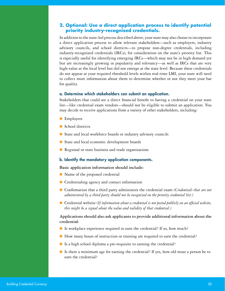#### **2. Optional: Use a direct application process to identify potential priority industry-recognized credentials.**

In addition to the state-led process described above, your state may also choose to incorporate a direct application process to allow relevant stakeholders—such as employers, industry advisory councils, and school districts—to propose non-degree credentials, including industry-recognized credentials (IRCs), for consideration on the state's priority list. This is especially useful for identifying emerging IRCs—which may not be in high demand yet but are increasingly growing in popularity and relevancy—as well as IRCs that are very high-value at the local level but did not emerge at the state level. Because these credentials do not appear at your required threshold levels within real-time LMI, your state will need to collect more information about them to determine whether or not they meet your bar for quality.

#### a. Determine which stakeholders can submit an application.

Stakeholders that could see a direct financial benefit to having a credential on your state list—like credential exam vendors—should not be eligible to submit an application. You may decide to receive applications from a variety of other stakeholders, including:

- Employers
- School districts
- State and local workforce boards or industry advisory councils
- State and local economic development boards
- Regional or state business and trade organizations

#### b. Identify the mandatory application components.

#### **Basic application information should include:**

- Name of the proposed credential
- Credentialing agency and contact information
- Confirmation that a third party administers the credential exam *(Credentials that are not administered by a third party should not be recognized on the priority credential list.)*
- Credential website (If information about a credential is not posted publicly on an official website, *this might be a signal about the value and validity of that credential.)*

#### **Applications should also ask applicants to provide additional information about the credential:**

- Is workplace experience required to earn the credential? If so, how much?
- How many hours of instruction or training are required to earn the credential?
- Is a high school diploma a pre-requisite to earning the credential?
- Is there a minimum age for earning the credential? If yes, how old must a person be to earn the credential?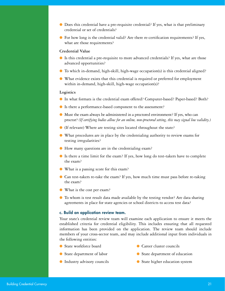- Does this credential have a pre-requisite credential? If yes, what is that preliminary credential or set of credentials?
- For how long is the credential valid? Are there re-certification requirements? If yes, what are those requirements?

#### **Credential Value**

- Is this credential a pre-requisite to more advanced credentials? If yes, what are those advanced opportunities?
- $\bullet$  To which in-demand, high-skill, high-wage occupation(s) is this credential aligned?
- What evidence exists that this credential is required or preferred for employment within in-demand, high-skill, high-wage occupation(s)?

#### **Logistics**

- In what formats is the credential exam offered? Computer-based? Paper-based? Both?
- Is there a performance-based component to the assessment?
- Must the exam always be administered in a proctored environment? If yes, who can proctor? *(If certifying bodies allow for an online, non-proctored setting, this may signal low validity.)*
- (If relevant) Where are testing sites located throughout the state?
- What procedures are in place by the credentialing authority to review exams for testing irregularities?
- How many questions are in the credentialing exam?
- Is there a time limit for the exam? If yes, how long do test-takers have to complete the exam?
- What is a passing score for this exam?
- Can test-takers re-take the exam? If yes, how much time must pass before re-taking the exam?
- What is the cost per exam?
- To whom is test result data made available by the testing vendor? Are data sharing agreements in place for state agencies or school districts to access test data?

#### c. Build an application review team.

Your state's credential review team will examine each application to ensure it meets the established criteria for credential eligibility. This includes ensuring that all requested information has been provided on the application. The review team should include members of your cross-sector team, and may include additional input from individuals in the following entities:

● State workforce board

- Career cluster councils
- State department of labor

● Industry advisory councils

- State department of education
- State higher education system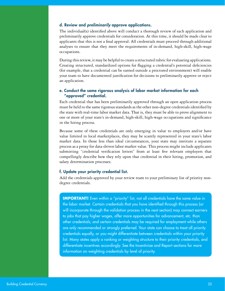#### d. Review and *preliminarily* approve applications.

The individual(s) identified above will conduct a thorough review of each application and preliminarily approve credentials for consideration. At this time, it should be made clear to applicants that this is not a final approval: All credentials must proceed through additional analyses to ensure that they meet the requirements of in-demand, high-skill, high-wage occupations.

During this review, it may be helpful to create a structured rubric for evaluating applications. Creating structured, standardized options for flagging a credential's potential deficiencies (for example, that a credential can be earned outside a proctored environment) will enable your team to have documented justification for decisions to preliminarily approve or reject an application.

#### e. Conduct the same rigorous analysis of labor market information for each "approved" credential.

Each credential that has been preliminarily approved through an open application process must be held to the same rigorous standards as the other non-degree credentials identified by the state with real-time labor market data. That is, they must be able to prove alignment to one or more of your state's in-demand, high-skill, high-wage occupations and significance in the hiring process.

Because some of these credentials are only emerging in value to employers and/or have value limited to local marketplaces, they may be scantly represented in your state's labor market data. In those less than ideal circumstances, your state may institute a separate process as a proxy for data-driven labor market value. This process might include applicants submitting "credential verification letters" from at least five relevant employers that compellingly describe how they rely upon that credential in their hiring, promotion, and salary determination processes.

#### f. Update your priority credential list.

Add the credentials approved by your review team to your preliminary list of priority nondegree credentials.

**IMPORTANT!** Even within a "priority" list, not all credentials have the same value in the labor market. Certain credentials that you have identified through this process (or will incorporate through the validation process in the next section) may connect earners to jobs that pay higher wages, offer more opportunities for advancement, etc. than other credentials; and certain credentials may be required for employment while others are only recommended or strongly preferred. Your state can choose to treat all priority credentials equally, or you might differentiate between credentials within your priority list. Many states apply a ranking or weighting structure to their priority credentials, and differentiate incentives accordingly. See the Incentivize and Report sections for more information on weighting credentials by level of priority.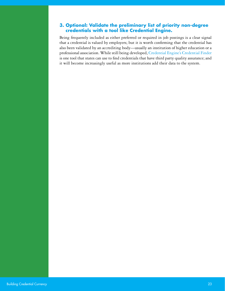#### **3. Optional: Validate the preliminary list of priority non-degree credentials with a tool like Credential Engine.**

Being frequently included as either preferred or required in job postings is a clear signal that a credential is valued by employers; but it is worth confirming that the credential has also been validated by an accrediting body—usually an institution of higher education or a professional association. While still being developed, [Credential Engine's Credential Finder](https://credentialfinder.org/) is one tool that states can use to find credentials that have third party quality assurance; and it will become increasingly useful as more institutions add their data to the system.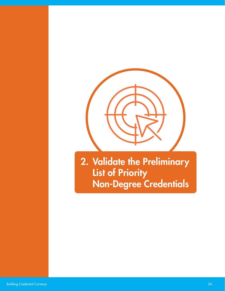

<span id="page-23-0"></span>2. Validate the Preliminary List of Priority Non-Degree Credentials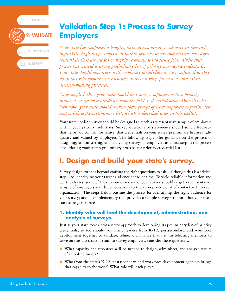$\stackrel{\scriptscriptstyle \circ}{\scriptscriptstyle \circ}$  1. identify

## **EE** 4. REPORT 2. VALIDATE 3. INCENTIVIZE

## <span id="page-24-0"></span>**Validation Step 1: Process to Survey Employers**

*Your state has completed a lengthy, data-driven process to identify in-demand, high-skill, high-wage occupations within priority sectors and related non-degree credentials that are needed or highly recommended to secure jobs. While that process has created a strong preliminary list of priority non-degree credentials, your state should now work with employers to validate it, i.e., confirm that they do in fact rely upon those credentials in their hiring, promotion, and salary decision-making practices.*

*To accomplish this, your state should first survey employers within priority industries to get broad feedback from the field as described below. Once that has been done, your state should convene focus groups of select employers to further test and validate the preliminary list, which is described later in this toolkit.*

Your state's online survey should be designed to reach a representative sample of employers within your priority industries. Survey questions or statements should solicit feedback that helps you confirm (or refute) that credentials on your state's preliminary list are highquality and valued by employers. The following steps offer guidance on the process of designing, administering, and analyzing surveys of employers as a first step in the process of validating your state's preliminary cross-sector priority credential list.

## **I. Design and build your state's survey.**

Survey design extends beyond crafting the right questions to ask—although this is a critical step—to identifying your target audience ahead of time. To yield reliable information and get the clearest sense of the economic landscape, your survey should target a representative sample of employers and direct questions to the appropriate point of contact within each organization. The steps below outline the process for identifying the right audience for your survey; and a complementary tool provides a sample survey structure that your team can use to get started.

#### **1. Identify who will lead the development, administration, and analysis of surveys.**

Just as your state took a cross-sector approach to developing its preliminary list of priority credentials, so too should you bring leaders from K-12, postsecondary, and workforce development together to validate, refine, and finalize that list. In selecting members to serve on this cross-sector team to survey employers, consider these questions:

- What capacity and resources will be needed to design, administer, and analyze results of an online survey?
- Who from the state's K-12, postsecondary, and workforce development agencies brings that capacity to the work? What role will each play?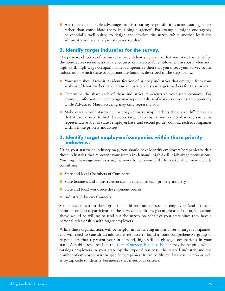● Are there considerable advantages to distributing responsibilities across state agencies rather than consolidate them in a single agency? For example, might one agency be especially well suited to design and develop the survey while another leads the administration and analysis of survey results?

#### **2. Identify target industries for the survey.**

The primary objective of the survey is to confidently determine that your state has identified the non-degree credentials that are required or preferred for employment in your in-demand, high-skill, high-wage occupations. It is imperative then that you direct your survey to the industries in which these occupations are found as described in the steps below.

- Your state should revisit its identification of priority industries that emerged from your analysis of labor market data. Those industries are your target markets for this survey.
- Determine the share each of these industries represents in your state economy. For example, Information Technology may represent 40% of workers in your state's economy while Advanced Manufacturing may only represent 10%.
- Make certain your statewide "priority industry map" reflects those size differences so that it can be used to first develop strategies to ensure your eventual survey sample is representative of your state's employer base; and second guide your outreach to companies within those priority industries.

#### **3. Identify target employers/companies within those priority industries.**

Using your statewide industry map, you should next identify employers/companies within those industries that represent your state's in-demand, high-skill, high-wage occupations. You might leverage your existing network to help you with this task, which may include consulting:

- State and local Chambers of Commerce
- State business and industry associations related to each priority industry
- State and local workforce development boards
- Industry Advisory Councils

Senior leaders within these groups should recommend specific employers (and a related point of contact) to participate in the survey. In addition, you might ask if the organizations above would be willing to send out the survey on behalf of your state since they have a personal relationship with target employers.

While those organizations will be helpful in identifying an initial set of target companies, you will need to consult an additional resource to build a more comprehensive group of respondents that represent your in-demand, high-skill, high-wage occupations in your state. A public resource like the [CareerOneStop Business Finder](https://www.careeronestop.org/Toolkit/Jobs/find-businesses.aspx?newsearch=true) may be helpful, which catalogs employers in your state by the type of business, the related industry, and the number of employees within specific companies. It can be filtered by these criteria as well as by zip code to identify businesses that meet your criteria.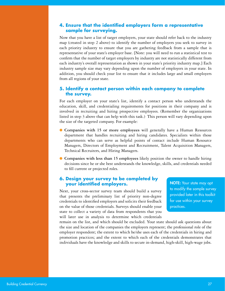#### **4. Ensure that the identified employers form a representative sample for surveying.**

Now that you have a list of target employers, your state should refer back to the industry map (created in step 2 above) to identify the number of employers you seek to survey in each priority industry to ensure that you are gathering feedback from a sample that is representative of your state's employer base. [Note: you will need to run a statistical test to confirm that the number of target employers by industry are not statistically different from each industry's overall representation as shown in your state's priority industry map.] Each industry sample size may vary depending upon the number of employers in your state. In addition, you should check your list to ensure that it includes large and small employers from all regions of your state.

#### **5. Identify a contact person within each company to complete the survey.**

For each employer on your state's list, identify a contact person who understands the education, skill, and credentialing requirements for positions in their company and is involved in recruiting and hiring prospective employees. (Remember the organizations listed in step 3 above that can help with this task.) This person will vary depending upon the size of the targeted company. For example:

- **Companies with 15 or more employees** will generally have a Human Resources department that handles recruiting and hiring candidates. Specialists within those departments who can serve as helpful points of contact include Human Resource Managers, Directors of Employment and Recruitment, Talent Acquisition Managers, Technical Recruiters, and Hiring Managers.
- **Companies with less than 15 employees** likely position the owner to handle hiring decisions since he or she best understands the knowledge, skills, and credentials needed to fill current or projected roles.

#### **6. Design your survey to be completed by your identified employers.**

Next, your cross-sector survey team should build a survey that presents the preliminary list of priority non-degree credentials to identified employers and solicits their feedback on the value of those credentials. Surveys should enable your state to collect a variety of data from respondents that you will later use in analysis to determine which credentials NOTE: Your state may opt to modify the sample survey provided later in this toolkit for use within your survey practices.

remain on the list, and which should be excluded. Your state should ask questions about the size and location of the companies the employers represent; the professional role of the employer respondent; the extent to which he/she uses each of the credentials in hiring and promotion practices; and the extent to which each of the credentials demonstrates that individuals have the knowledge and skills to secure in-demand, high-skill, high-wage jobs.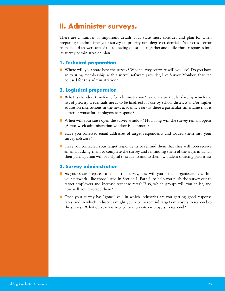## **II. Administer surveys.**

There are a number of important details your state must consider and plan for when preparing to administer your survey on priority non-degree credentials. Your cross-sector team should answer each of the following questions together and build those responses into its survey administration plan.

#### **1. Technical preparation**

● Where will your state host the survey? What survey software will you use? Do you have an existing membership with a survey software provider, like Survey Monkey, that can be used for this administration?

#### **2. Logistical preparation**

- What is the ideal timeframe for administration? Is there a particular date by which the list of priority credentials needs to be finalized for use by school districts and/or higher education institutions in the next academic year? Is there a particular timeframe that is better or worse for employers to respond?
- When will your state open the survey window? How long will the survey remain open? (A two-week administration window is common.)
- Have you collected email addresses of target respondents and loaded them into your survey software?
- Have you contacted your target respondents to remind them that they will soon receive an email asking them to complete the survey and reminding them of the ways in which their participation will be helpful to students and to their own talent sourcing priorities?

#### **3. Survey administration**

- As your state prepares to launch the survey, how will you utilize organizations within your network, like those listed in Section I, Part 3, to help you push the survey out to target employers and increase response rates? If so, which groups will you enlist, and how will you leverage them?
- Once your survey has "gone live," in which industries are you getting good response rates, and in which industries might you need to remind target employers to respond to the survey? What outreach is needed to motivate employers to respond?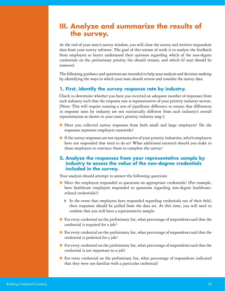## **III. Analyze and summarize the results of the survey.**

At the end of your state's survey window, you will close the survey and retrieve respondent data from your survey software. The goal of this stream of work is to analyze the feedback from employers to better understand their opinions regarding which of the non-degree credentials on the preliminary priority list should remain, and which (if any) should be removed.

The following guidance and questions are intended to help your analysis and decision-making by identifying the ways in which your state should review and consider the survey data.

#### **1. First, identify the survey response rate by industry.**

Check to determine whether you have you received an adequate number of responses from each industry such that the response rate is representative of your priority industry sectors. [Note: This will require running a test of significant difference to ensure that differences in response rates by industry are not statistically different from each industry's overall representation as shown in your state's priority industry map.]

- Have you collected survey responses from both small and large employers? Do the responses represent employers statewide?
- If the survey responses are not representative of your priority industries, which employers have not responded that need to do so? What additional outreach should you make to those employers to convince them to complete the survey?

#### **2. Analyze the responses from your representative sample by industry to assess the value of the non-degree credentials included in the survey.**

Your analysis should attempt to answer the following questions:

- Have the employers responded to questions on appropriate credentials? (For example, have healthcare employers responded to questions regarding non-degree healthcarerelated credentials?)
	- ◗ In the event that employers have responded regarding credentials out of their field, their responses should be pulled from the data set. At this time, you will need to confirm that you still have a representative sample.
- For every credential on the preliminary list, what percentage of respondents said that the credential is required for a job?
- For every credential on the preliminary list, what percentage of respondents said that the credential is preferred for a job?
- For every credential on the preliminary list, what percentage of respondents said that the credential is not important to a job?
- For every credential on the preliminary list, what percentage of respondents indicated that they were not familiar with a particular credential?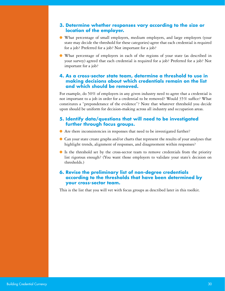#### **3. Determine whether responses vary according to the size or location of the employer.**

- What percentage of small employers, medium employers, and large employers (your state may decide the threshold for these categories) agree that each credential is required for a job? Preferred for a job? Not important for a job?
- What percentage of employers in each of the regions of your state (as described in your survey) agreed that each credential is required for a job? Preferred for a job? Not important for a job?

#### **4. As a cross-sector state team, determine a threshold to use in making decisions about which credentials remain on the list and which should be removed.**

For example, do 50% of employers in any given industry need to agree that a credential is not important to a job in order for a credential to be removed? Would 35% suffice? What constitutes a "preponderance of the evidence"? Note that whatever threshold you decide upon should be uniform for decision-making across all industry and occupation areas.

#### **5. Identify data/questions that will need to be investigated further through focus groups.**

- Are there inconsistencies in responses that need to be investigated further?
- Can your state create graphs and/or charts that represent the results of your analyses that highlight trends, alignment of responses, and disagreement within responses?
- Is the threshold set by the cross-sector team to remove credentials from the priority list rigorous enough? (You want those employers to validate your state's decision on thresholds.)

#### **6. Revise the preliminary list of non-degree credentials according to the thresholds that have been determined by your cross-sector team.**

This is the list that you will vet with focus groups as described later in this toolkit.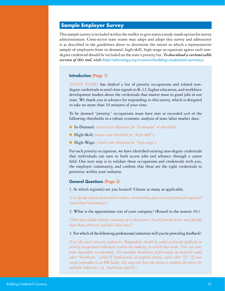#### <span id="page-30-0"></span>**Sample Employer Survey**

This sample survey is included within the toolkit to give states a ready-made option for survey administration. Cross-sector state teams may adapt and adopt this survey and administer it as described in the guidelines above to determine the extent to which a representative sample of employers from in-demand, high-skill, high-wage occupations agrees each nondegree credential should be included on the state's priority list. *To download a customizable version of this tool, visit [http://edstrategy.org/resource/building-credential-currency/.](http://edstrategy.org/resource/building-credential-currency/)*

#### Introduction (Page 1)

*[STATE NAME]* has drafted a list of priority occupations and related nondegree credentials to send clear signals to K-12, higher education, and workforce development leaders about the credentials that matter most to good jobs in our state. We thank you in advance for responding to this survey, which is designed to take no more than 10 minutes of your time.

To be deemed "priority," occupations must have met or exceeded *each* of the following thresholds in a robust economic analysis of state labor market data:

- In-Demand: *[insert state definition for "in-demand" or threshold]*
- High-Skill: *[insert state threshold for "high-skill"]*
- High-Wage: *[insert state threshold for "high-wage"]*

For each priority occupation, we have identified existing non-degree credentials that individuals can earn to both access jobs and advance through a career field. Our next step is to validate these occupations and credentials with you, the employer community, and confirm that these are the right credentials to prioritize within your industry.

#### General Questions (Page 2)

1. In which region(s) are you located? Choose as many as applicable.

*{List specific options from which to choose, corresponding your state's preference for regional/ county/local terminology.}*

2. What is the approximate size of your company? (Round to the nearest 10.)

*{Short open-ended response; rounding up to the nearest 10 will provide better, more flexible data than arbitrary multiple choice tiers.}*

#### 3. For which of the following professional industries will you be providing feedback?

*{List the state's priority industries. Respondents should be asked to provide feedback on priority occupations/credentials within the industry in which they work. This can vary from respondent to respondent. For example, healthcare professionals in hospitals could select "healthcare," while IT professionals in hospital settings could select "IT." If your target respondent is an HR leader, they may also have the option to complete the survey for multiple industries, e.g., healthcare and IT.}*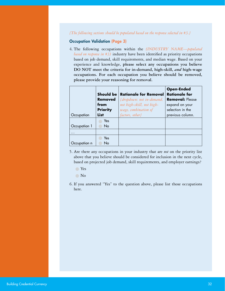#### *{The following sections should be populated based on the response selected in #3.}*

#### Occupation Validation (Page 3)

4. The following occupations within the *[INDUSTRY NAME—populated based on response in #3]* industry have been identified as priority occupations based on job demand, skill requirements, and median wage. Based on your experience and knowledge, **please select any occupations you believe DO NOT meet the criteria for in-demand, high-skill,** *and* **high-wage occupations. For each occupation you believe should be removed, please provide your reasoning for removal.**

|              | <b>Should be</b><br><b>Removed</b><br>from<br><b>Priority</b><br><b>List</b> | <b>Rationale for Removal</b><br>{dropdown: not in-demand,<br>not high-skill, not high-<br>wage, combination of | <b>Open-Ended</b><br><b>Rationale for</b><br><b>Removal: Please</b><br>expand on your<br>selection in the |
|--------------|------------------------------------------------------------------------------|----------------------------------------------------------------------------------------------------------------|-----------------------------------------------------------------------------------------------------------|
| Occupation   |                                                                              | factors, other}                                                                                                | previous column.                                                                                          |
|              | Yes                                                                          |                                                                                                                |                                                                                                           |
| Occupation 1 | <b>No</b>                                                                    |                                                                                                                |                                                                                                           |
| $\ddotsc$    |                                                                              |                                                                                                                |                                                                                                           |
|              | Yes                                                                          |                                                                                                                |                                                                                                           |
| Occupation n | No                                                                           |                                                                                                                |                                                                                                           |

- 5. Are there any occupations in your industry that are *not* on the priority list above that you believe should be considered for inclusion in the next cycle, based on projected job demand, skill requirements, and employer earnings?
	- Yes
	- No
- 6. If you answered "Yes" to the question above, please list those occupations here.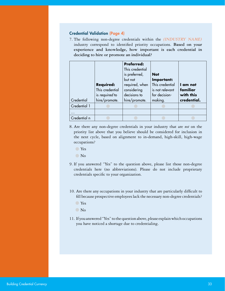#### Credential Validation (Page 4)

7. The following non-degree credentials within the *[INDUSTRY NAME]*  industry correspond to identified priority occupations. **Based on your experience and knowledge, how important is each credential in deciding to hire or promote an individual?**

| Credential   | <b>Required:</b><br>This credential<br>is required to<br>hire/promote. | <b>Preferred:</b><br>This credential<br>is preferred,<br>but not<br>required, when<br>considering<br>decisions to<br>hire/promote. | <b>Not</b><br>Important:<br>This credential<br>is not relevant<br>for decision-<br>making. | I am not<br>familiar<br>with this<br>credential. |
|--------------|------------------------------------------------------------------------|------------------------------------------------------------------------------------------------------------------------------------|--------------------------------------------------------------------------------------------|--------------------------------------------------|
| Credential 1 |                                                                        |                                                                                                                                    |                                                                                            |                                                  |
| .            |                                                                        |                                                                                                                                    |                                                                                            |                                                  |
| Credential n |                                                                        |                                                                                                                                    |                                                                                            |                                                  |

- 8. Are there any non-degree credentials in your industry that are *not* on the priority list above that you believe should be considered for inclusion in the next cycle, based on alignment to in-demand, high-skill, high-wage occupations?
	- Yes
	- No
- 9. If you answered "Yes" to the question above, please list those non-degree credentials here (no abbreviations). Please do not include proprietary credentials specific to your organization.
- 10. Are there any occupations in your industry that are particularly difficult to fill because prospective employees lack the necessary non-degree credentials?
	- Yes
	- $\bigcirc$  No
- 11. If you answered "Yes" to the question above, please explain which occupations you have noticed a shortage due to credentialing.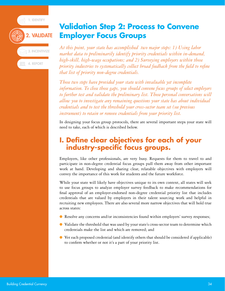1. IDENTIFY



## <span id="page-33-0"></span>**Validation Step 2: Process to Convene Employer Focus Groups**

*At this point, your state has accomplished two major steps: 1) Using labor market data to preliminarily identify priority credentials within in-demand, high-skill, high-wage occupations; and 2) Surveying employers within those priority industries to systematically collect broad feedback from the field to refine that list of priority non-degree credentials.*

*Those two steps have provided your state with invaluable yet incomplete information. To close those gaps, you should convene focus groups of select employers to further test and validate the preliminary list. Those personal conversations will allow you to investigate any remaining questions your state has about individual credentials and to test the threshold your cross-sector team set (see previous instrument) to retain or remove credentials from your priority list.*

In designing your focus group protocols, there are several important steps your state will need to take, each of which is described below.

## **I. Define clear objectives for each of your industry-specific focus groups.**

Employers, like other professionals, are very busy. Requests for them to travel to and participate in non-degree credential focus groups pull them away from other important work at hand. Developing and sharing clear, relatable objectives with employers will convey the importance of this work for students and the future workforce.

While your state will likely have objectives unique to its own context, all states will seek to use focus groups to analyze employer survey feedback to make recommendations for final approval of an employer-endorsed non-degree credential priority list that includes credentials that are valued by employers in their talent sourcing work and helpful in recruiting new employees. There are also several more narrow objectives that will hold true across states:

- Resolve any concerns and/or inconsistencies found within employers' survey responses;
- Validate the threshold that was used by your state's cross-sector team to determine which credentials make the list and which are removed; and
- Vet each proposed credential (and identify others that should be considered if applicable) to confirm whether or not it's a part of your priority list.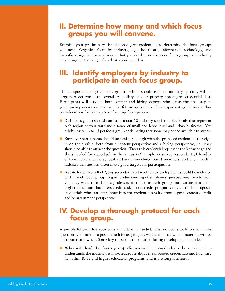## **II. Determine how many and which focus groups you will convene.**

Examine your preliminary list of non-degree credentials to determine the focus groups you need. Organize them by industry, e.g., healthcare, information technology, and manufacturing. You may discover that you need more than one focus group per industry depending on the range of credentials on your list.

## **III. Identify employers by industry to participate in each focus group.**

The composition of your focus groups, which should each be industry specific, will in large part determine the overall reliability of your priority non-degree credentials list. Participants will serve as both content and hiring experts who act as the final step in your quality assurance process. The following list describes important guidelines and/or considerations for your state in forming focus groups.

- Each focus group should consist of about 10 industry-specific professionals that represent each region of your state and a range of small and large, rural and urban businesses. You might invite up to 15 per focus group anticipating that some may not be available to attend.
- Employer participants should be familiar enough with the proposed credentials to weigh in on their value, both from a content perspective and a hiring perspective, i.e., they should be able to answer the question, "Does this credential represent the knowledge and skills needed for a good job in this industry?" Employer survey respondents, Chamber of Commerce members, local and state workforce board members, and those within industry associations often make good targets for participation.
- A state leader from K-12, postsecondary, and workforce development should be included within each focus group to gain understanding of employers' perspectives. In addition, you may want to include a professor/instructor in each group from an institution of higher education that offers credit and/or non-credit programs related to the proposed credentials who can offer input into the credential's value from a postsecondary credit and/or attainment perspective.

## **IV. Develop a thorough protocol for each focus group.**

A sample follows that your state can adapt as needed. The protocol should script all the questions you intend to pose in each focus group as well as identify which materials will be distributed and when. Some key questions to consider during development include:

● **Who will lead the focus group discussion?** It should ideally be someone who understands the industry, is knowledgeable about the proposed credentials and how they fit within K-12 and higher education programs, and is a strong facilitator.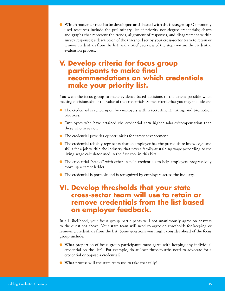● **Which materials need to be developed and shared with the focus group?** Commonly used resources include the preliminary list of priority non-degree credentials; charts and graphs that represent the trends, alignment of responses, and disagreement within survey responses; a description of the threshold set by your cross-sector team to retain or remove credentials from the list; and a brief overview of the steps within the credential evaluation process.

## **V. Develop criteria for focus group participants to make final recommendations on which credentials make your priority list.**

You want the focus group to make evidence-based decisions to the extent possible when making decisions about the value of the credentials. Some criteria that you may include are:

- The credential is relied upon by employers within recruitment, hiring, and promotion practices.
- Employees who have attained the credential earn higher salaries/compensation than those who have not.
- The credential provides opportunities for career advancement.
- The credential reliably represents that an employee has the prerequisite knowledge and skills for a job within the industry that pays a family-sustaining wage (according to the living wage calculator used in the first tool in this kit).
- The credential "stacks" with other in-field credentials to help employees progressively move up a career ladder.
- The credential is portable and is recognized by employers across the industry.

## **VI. Develop thresholds that your state cross-sector team will use to retain or remove credentials from the list based on employer feedback.**

In all likelihood, your focus group participants will not unanimously agree on answers to the questions above. Your state team will need to agree on thresholds for keeping or removing credentials from the list. Some questions you might consider ahead of the focus group include:

- What proportion of focus group participants must agree with keeping any individual credential on the list? For example, do at least three-fourths need to advocate for a credential or oppose a credential?
- What process will the state team use to take that tally?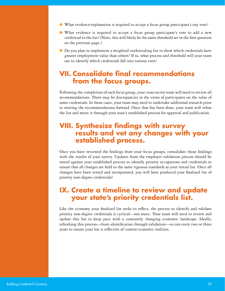- What evidence/explanation is required to accept a focus group participant's nay vote?
- What evidence is required to accept a focus group participant's vote to add a new credential to the list? (Note, this will likely be the same threshold set in the first question on the previous page.)
- Do you plan to implement a weighted credentialing list to show which credentials have greater employment value than others? If so, what process and threshold will your team use to identify which credentials fall into various tiers?

## **VII. Consolidate final recommendations from the focus groups.**

Following the completion of each focus group, your cross-sector team will need to review all recommendations. There may be discrepancies in the views of participants on the value of some credentials. In those cases, your team may need to undertake additional research prior to moving the recommendations forward. Once that has been done, your team will refine the list and move it through your state's established process for approval and publication.

## **VIII. Synthesize findings with survey results and vet any changes with your established process.**

Once you have reviewed the findings from your focus groups, consolidate those findings with the results of your survey. Updates from the employer validation process should be tested against your established process to identify priority occupations and credentials to ensure that all changes are held to the same rigorous standards as your initial list. Once all changes have been vetted and incorporated, you will have produced your finalized list of priority non-degree credentials!

## **IX. Create a timeline to review and update your state's priority credentials list.**

Like the economy your finalized list seeks to reflect, the process to identify and validate priority non-degree credentials is cyclical—not static. Your team will need to review and update this list to keep pace with a constantly changing economic landscape. Ideally, refreshing this process—from identification through validation—occurs every two or three years to ensure your list is reflective of current economic realities.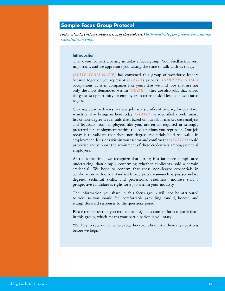#### <span id="page-37-0"></span>**Sample Focus Group Protocol**

*To download a customizable version of this tool, visit [http://edstrategy.org/resource/building](http://edstrategy.org/resource/building-credential-currency/)[credential-currency/](http://edstrategy.org/resource/building-credential-currency/).*

#### **Introduction**

Thank you for participating in today's focus group. Your feedback is very important, and we appreciate you taking the time to talk with us today.

*[STATE TEAM NAME]* has convened this group of workforce leaders because together you represent *[STATE]*'s priority *[INDUSTRY NAME]* occupations. It is in companies like yours that we find jobs that are not only the most demanded within *[STATE]*—they are also jobs that afford the greatest opportunity for employees in terms of skill level and associated wages.

Creating clear pathways to these jobs is a significant priority for our state, which is what brings us here today. *[STATE]* has identified a preliminary list of non-degree credentials that, based on our labor market data analysis and feedback from employers like you, are either required or strongly preferred for employment within the occupations you represent. Our job today is to validate that these non-degree credentials hold real value in employment decisions within your sector and confirm that *[STATE]* should prioritize and support the attainment of these credentials among potential employees.

At the same time, we recognize that hiring is a far more complicated undertaking than simply confirming whether applicants hold a certain credential. We hope to confirm that these non-degree credentials in combination with other standard hiring priorities—such as postsecondary degrees, technical skills, and professional readiness—indicate that a prospective candidate is right for a job within your industry.

The information you share in this focus group will not be attributed to you, so you should feel comfortable providing candid, honest, and straightforward responses to the questions posed.

Please remember that you received and signed a consent form to participate in this group, which means your participation is voluntary.

We'll try to keep our time here together to one hour. Are there any questions before we begin?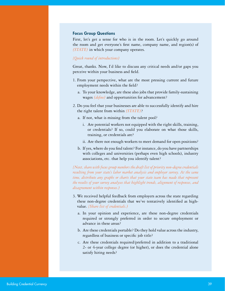#### Focus Group Questions

First, let's get a sense for who is in the room. Let's quickly go around the room and get everyone's first name, company name, and region(s) of *[STATE]* in which your company operates.

#### *{Quick round of introductions]*

Great, thanks. Now, I'd like to discuss any critical needs and/or gaps you perceive within your business and field.

- 1. From your perspective, what are the most pressing current and future employment needs within the field?
	- a. To your knowledge, are these also jobs that provide family-sustaining wages *[define]* and opportunities for advancement?
- 2. Do you feel that your businesses are able to successfully identify and hire the right talent from within *[STATE]*?
	- a. If not, what is missing from the talent pool?
		- i. Are potential workers not equipped with the right skills, training, or credentials? If so, could you elaborate on what those skills, training, or credentials are?
		- ii. Are there not enough workers to meet demand for open positions?
	- b. If yes, where do you find talent? For instance, do you have partnerships with colleges and universities (perhaps even high schools), industry associations, etc. that help you identify talent?

*{Next, share with focus group members the draft list of priority non-degree credentials resulting from your state's labor market analysis and employer survey. At the same time, distribute any graphs or charts that your state team has made that represent the results of your survey analyses that highlight trends, alignment of responses, and disagreement within responses.]*

- 3. We received helpful feedback from employers across the state regarding these non-degree credentials that we've tentatively identified as highvalue. *{Share list of credentials.]*
	- a. In your opinion and experience, are these non-degree credentials required or strongly preferred in order to secure employment or advance in these areas?
	- b. Are these credentials portable? Do they hold value across the industry, regardless of business or specific job title?
	- c. Are these credentials required/preferred in addition to a traditional 2- or 4-year college degree (or higher), or does the credential alone satisfy hiring needs?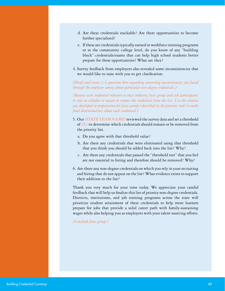- d. Are these credentials stackable? Are there opportunities to become further specialized?
- e. If these are credentials typically earned in workforce training programs or at the community college level, do you know of any "building block" credentials/exams that can help high school students better prepare for these opportunities? What are they?
- 4. Survey feedback from employers also revealed some inconsistencies that we would like to raise with you to get clarification.

*{Draft and insert 2-3 questions here regarding concerning inconsistencies you found through the employer survey about particular non-degree credentials.]*

*{Review each credential relevant to that industry focus group and ask participants to vote on whether to retain or remove the credential from the list. Use the criteria you developed in preparation for focus groups (described in the previous tool) to make final determinations about each credential.]*

- 5. Our *[STATE TEAM NAME]* reviewed the survey data and set a threshold of *[X]* to determine which credentials should remain or be removed from the priority list.
	- a. Do you agree with that threshold value?
	- b. Are there any credentials that were eliminated using that threshold that you think you should be added back into the list? Why?
	- c. Are there any credentials that passed the "threshold test" that you feel are not essential to hiring and therefore should be removed? Why?
- 6. Are there any non-degree credentials on which you rely in your recruiting and hiring that do not appear on the list? What evidence exists to support their addition to the list?

Thank you very much for your time today. We appreciate your candid feedback that will help us finalize this list of priority non-degree credentials. Districts, institutions, and job training programs across the state will prioritize student attainment of these credentials to help more learners prepare for jobs that provide a solid career path with family-sustaining wages while also helping you as employers with your talent sourcing efforts.

*{Conclude focus group.}*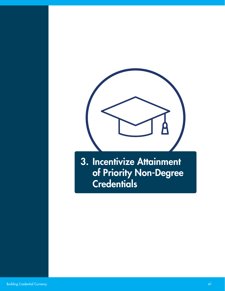

<span id="page-40-0"></span>3. Incentivize Attainment of Priority Non-Degree Credentials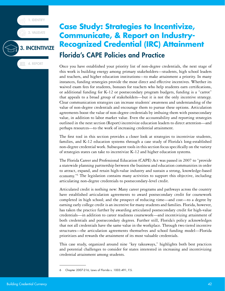1. IDENTIFY

2. VALIDATE

3. INCENTIVIZE

**4. REPORT** 

## <span id="page-41-0"></span>**Case Study: Strategies to Incentivize, Communicate, & Report on Industry-Recognized Credential (IRC) Attainment** Florida's CAPE Policies and Practice

Once you have established your priority list of non-degree credentials, the next stage of this work is building energy among primary stakeholders—students, high school leaders and teachers, and higher education institutions—to make attainment a priority. In many instances, funding strategies provide the most direct and effective incentives. Whether its waived exam fees for students, bonuses for teachers who help students earn certifications, or additional funding for K-12 or postsecondary program budgets, funding is a "carrot" that appeals to a broad group of stakeholders—but it is not the only incentive strategy. Clear communication strategies can increase students' awareness and understanding of the value of non-degree credentials and encourage them to pursue these options. Articulation agreements boost the value of non-degree credentials by imbuing them with postsecondary value, in addition to labor market value. Even the accountability and reporting strategies outlined in the next section (Report) incentivize education leaders to direct attention—and perhaps resources—to the work of increasing credential attainment.

The first tool in this section provides a closer look at strategies to incentivize students, families, and K-12 education systems through a case study of Florida's long-established non-degree credential work. Subsequent tools in this section focus specifically on the variety of strategies states can take to incentivize K-12 and higher education systems.

The Florida Career and Professional Education (CAPE) Act was passed in 2007 to "provide a statewide planning partnership between the business and education communities in order to attract, expand, and retain high-value industry and sustain a strong, knowledge-based economy."6 The legislation contains many activities to support this objective, including articulating non-degree credentials to postsecondary-level credit.

Articulated credit is nothing new: Many career programs and pathways across the country have established articulation agreements to award postsecondary credit for coursework completed in high school; and the prospect of reducing time—and cost—to a degree by earning early college credit is an incentive for many students and families. Florida, however, has taken the practice further by awarding articulated postsecondary credit for high-value credentials—in addition to career readiness coursework—and incentivizing attainment of both credentials and postsecondary degrees. Further still, Florida's policy acknowledges that not all credentials have the same value in the workplace. Through two tiered incentive structures—the articulation agreements themselves and school funding model—Florida prioritizes and rewards the attainment of its most valuable credentials.

This case study, organized around nine "key takeaways," highlights both best practices and potential challenges to consider for states interested in increasing and incentivizing credential attainment among students.

<sup>6</sup> Chapter 2007-216, Laws of Florida s. 1003.491, F.S.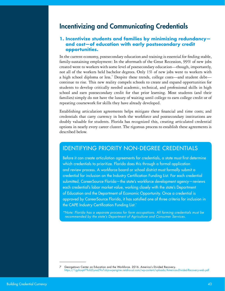## Incentivizing and Communicating Credentials

#### **1. Incentivize students and families by minimizing redundancy and cost—of education with early postsecondary credit opportunities.**

In the current economy, postsecondary education and training is essential for finding stable, family-sustaining employment: In the aftermath of the Great Recession, 99% of new jobs created went to workers with some level of postsecondary education—though, importantly, not all of the workers held bachelor degrees. Only 1% of new jobs went to workers with a high school diploma or less.<sup>7</sup> Despite these trends, college costs—and student debt continue to rise. This new reality compels schools to create and expand opportunities for students to develop critically needed academic, technical, and professional skills in high school and earn postsecondary credit for that prior learning. Most students (and their families) simply do not have the luxury of waiting until college to earn college credit or of repeating coursework for skills they have already developed.

Establishing articulation agreements helps mitigate these financial and time costs; and credentials that carry currency in both the workforce and postsecondary institutions are doubly valuable for students. Florida has recognized this, creating articulated credential options in nearly every career cluster. The rigorous process to establish these agreements is described below.

#### IDENTIFYING PRIORITY NON-DEGREE CREDENTIALS

Before it can create articulation agreements for credentials, a state must first determine which credentials to prioritize. Florida does this through a formal application and review process. A workforce board or school district must formally submit a credential for inclusion on the Industry Certification Funding List. For each credential submitted, CareerSource Florida—the state's workforce development agency—reviews each credential's labor market value, working closely with the state's Department of Education and the Department of Economic Opportunity. Once a credential is approved by CareerSource Florida, it has satisfied one of three criteria for inclusion in the CAPE Industry Certification Funding List.\*

*\*Note: Florida has a separate process for farm occupations. All farming credentials must be recommended by the state's Department of Agriculture and Consumer Services.*

<sup>7</sup> Georgetown Center on Education and the Workforce. 2016. America's Divided Recovery. <https://1gyhoq479ufd3yna29x7ubjn-wpengine.netdna-ssl.com/wp-content/uploads/Americas-Divided-Recovery-web.pdf>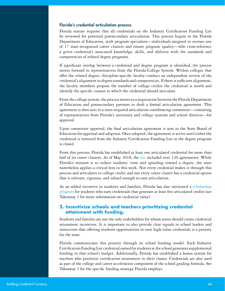#### Florida's credential articulation process

Florida statute requires that all credentials on the Industry Certification Funding List be reviewed for potential postsecondary articulation. This process begins in the Florida Department of Education, with program specialists—individuals assigned to oversee one of 17 state-recognized career clusters and ensure program quality—who cross-reference a given credential's associated knowledge, skills, and abilities with the standards and competencies of related degree programs.

If significant overlap between a credential and degree program is identified, the process moves forward to representatives from the Florida College System. Within colleges that offer the related degree, discipline-specific faculty conduct an independent review of the credential's alignment to degree standards and competencies. If there is sufficient alignment, the faculty members propose the number of college credits the credential is worth and identify the specific courses to which the credential should articulate.

From the college system, the process moves to a negotiation between the Florida Department of Education and postsecondary partners to draft a formal articulation agreement. This agreement is then sent to a state-required articulation coordinating committee—consisting of representatives from Florida's university and college systems and school districts—for approval.

Upon committee approval, the final articulation agreement is sent to the State Board of Education for approval and adoption. Once adopted, the agreement is active until either the credential is removed from the Industry Certification Funding List or the degree program is closed.

From this process, Florida has established at least one articulated credential for more than half of its career clusters. As of May 2018, the [list](http://www.fldoe.org/academics/career-adult-edu/cape-secondary/cape-industry-cert-funding-list-current.stml) included over 120 agreements. While Florida's mission is to reduce students' time and spending toward a degree, the state nonetheless applies a critical lens to this work. Not every credential makes it through this process and articulates to college credit; and not every career cluster has a credential option that is relevant, rigorous, and valued enough to earn articulation.

As an added incentive to students and families, Florida has also instituted a [scholarship](https://www.floridastudentfinancialaidsg.org/PDF/GSC.pdf) [program](https://www.floridastudentfinancialaidsg.org/PDF/GSC.pdf) for students who earn credentials that generate at least five articulated credits (see Takeaway 3 for more information on credential value).

#### **2. Incentivize schools and teachers prioritizing credential attainment with funding.**

Students and families are not the only stakeholders for whom states should create credential attainment incentives. It is important to also provide clear signals to school leaders and instructors that offering students opportunities to earn high-value credentials is a priority for the state.

Florida communicates this priority through its school funding model. Each Industry Certification Funding List credential earned by students at the school generates supplemental funding in that school's budget. Additionally, Florida has established a bonus system for teachers who prioritize certification attainment in their classes. Credentials are also used as part of the college and career acceleration component of the school grading formula. See Takeaway 3 for the specific funding strategy Florida employs.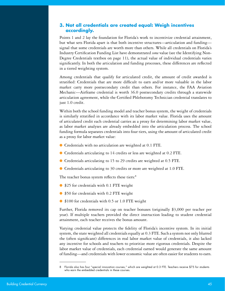#### **3. Not all credentials are created equal: Weigh incentives accordingly.**

Points 1 and 2 lay the foundation for Florida's work to incentivize credential attainment, but what sets Florida apart is that both incentive structures—articulation and funding signal that some credentials are worth more than others. While all credentials on Florida's Industry Certification Funding List have demonstrated *some* value (see the Identifying Non-Degree Credentials textbox on page 11), the actual value of individual credentials varies significantly. In both the articulation and funding processes, these differences are reflected in a tiered weighting system.

Among credentials that qualify for articulated credit, the amount of credit awarded is stratified: Credentials that are more difficult to earn and/or more valuable in the labor market carry more postsecondary credit than others. For instance, the FAA Aviation Mechanic—Airframe credential is worth 36.0 postsecondary credits through a statewide articulation agreement, while the Certified Phlebotomy Technician credential translates to just 1.0 credit.

Within both the school funding model and teacher bonus system, the weight of credentials is similarly stratified in accordance with its labor market value. Florida uses the amount of articulated credit each credential carries as a proxy for determining labor market value, as labor market analyses are already embedded into the articulation process. The school funding formula separates credentials into four tiers, using the amount of articulated credit as a proxy for labor market value:

- Credentials with no articulation are weighted at 0.1 FTE.
- Credentials articulating to 14 credits or less are weighted at 0.2 FTE.
- Credentials articulating to 15 to 29 credits are weighted at 0.5 FTE.
- Credentials articulating to 30 credits or more are weighted at 1.0 FTE.

The teacher bonus system reflects these tiers:<sup>8</sup>

- \$25 for credentials with 0.1 FTE weight
- \$50 for credentials with 0.2 FTE weight
- \$100 for credentials with 0.5 or 1.0 FTE weight

Further, Florida removed its cap on teacher bonuses (originally \$3,000 per teacher per year). If multiple teachers provided the direct instruction leading to student credential attainment, each teacher receives the bonus amount.

Varying credential value protects the fidelity of Florida's incentive system. In its initial system, the state weighted all credentials equally at 0.3 FTE. Such a system not only blurred the (often significant) differences in real labor market value of credentials, it also lacked any incentive for schools and teachers to prioritize more rigorous credentials. Despite the labor market value of credentials, each credential earned would generate the same amount of funding—and credentials with lower economic value are often easier for students to earn.

<sup>8</sup> Florida also has four "special innovation courses," which are weighted at 0.3 FTE. Teachers receive \$75 for students who earn the embedded credentials in these courses.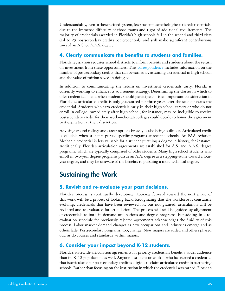Understandably, even in the stratified system, few students earn the highest-tiered credentials, due to the immense difficulty of those exams and rigor of additional requirements. The majority of credentials awarded in Florida's high schools fall in the second and third tiers (14 to 29 postsecondary credits per credential), and still make significant contributions toward an A.S. or A.A.S. degree.

#### **4. Clearly communicate the benefits to students and families.**

Florida legislation requires school districts to inform parents and students about the return on investment from these opportunities. This [correspondence](http://lhs.lafayette.schooldesk.net/LinkClick.aspx?fileticket=BuZzFjLG99M%3D&portalid=922) includes information on the number of postsecondary credits that can be earned by attaining a credential in high school, and the value of tuition saved in doing so.

In addition to communicating the return on investment credentials carry, Florida is currently working to enhance its advisement strategy. Determining the classes in which to offer credentials—and when students should participate—is an important consideration in Florida, as articulated credit is only guaranteed for three years after the student earns the credential. Students who earn credentials early in their high school careers or who do not enroll in college immediately after high school, for instance, may be ineligible to receive postsecondary credit for their work—though colleges could decide to honor the agreement past expiration at their discretion.

Advising around college and career options broadly is also being built out. Articulated credit is valuable when students pursue specific programs at specific schools. An FAA Aviation Mechanic credential is less valuable for a student pursuing a degree in history, for instance. Additionally, Florida's articulation agreements are established for A.S. and A.A.S. degree programs, which are typically comprised of older students. Many high school students who enroll in two-year degree programs pursue an A.A. degree as a stepping-stone toward a fouryear degree, and may be unaware of the benefits to pursuing a more technical degree.

## Sustaining the Work

#### **5. Revisit and re-evaluate your past decisions.**

Florida's process is continually developing. Looking forward toward the next phase of this work will be a process of looking back. Recognizing that the workforce is constantly evolving, credentials that have been reviewed for, but not granted, articulation will be revisited and re-evaluated for articulation. The process will still be guided by alignment of credentials to both in-demand occupations and degree programs; but adding in a reevaluation schedule for previously rejected agreements acknowledges the fluidity of this process. Labor market demand changes as new occupations and industries emerge and as others fade. Postsecondary programs, too, change. New majors are added and others phased out, as do courses and standards within majors.

#### **6. Consider your impact beyond K-12 students.**

Florida's statewide articulation agreements for priority credentials benefit a wider audience than its K-12 population, as well. Anyone—student or adult—who has earned a credential that is articulated for postsecondary credit is eligible to claim articulated credit in partnering schools. Rather than focusing on the institution in which the credential was earned, Florida's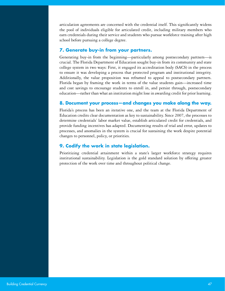articulation agreements are concerned with the credential itself. This significantly widens the pool of individuals eligible for articulated credit, including military members who earn credentials during their service and students who pursue workforce training after high school before pursuing a college degree.

#### **7. Generate buy-in from your partners.**

Generating buy-in from the beginning—particularly among postsecondary partners—is crucial. The Florida Department of Education sought buy-in from its community and state college system in two ways: First, it engaged its accreditation body (SACS) in the process to ensure it was developing a process that protected program and institutional integrity. Additionally, the value proposition was reframed to appeal to postsecondary partners. Florida began by framing the work in terms of the value students gain—increased time and cost savings to encourage students to enroll in, and persist through, postsecondary education—rather than what an institution might lose in awarding credit for prior learning.

#### **8. Document your process—and changes you make along the way.**

Florida's process has been an iterative one, and the team at the Florida Department of Education credits clear documentation as key to sustainability. Since 2007, the processes to determine credentials' labor market value, establish articulated credit for credentials, and provide funding incentives has adapted. Documenting results of trial and error, updates to processes, and anomalies in the system is crucial for sustaining the work despite potential changes to personnel, policy, or priorities.

#### **9. Codify the work in state legislation.**

Prioritizing credential attainment within a state's larger workforce strategy requires institutional sustainability. Legislation is the gold standard solution by offering greater protection of the work over time and throughout political change.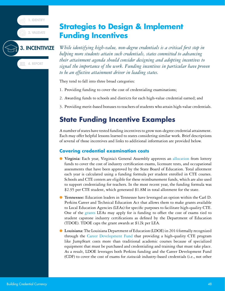1. IDENTIFY



### 3. INCENTIVIZE

**GE 4. REPORT** 

<span id="page-47-0"></span>*While identifying high-value, non-degree credentials is a critical first step in helping more students attain such credentials, states committed to advancing their attainment agenda should consider designing and adopting incentives to signal the importance of the work. Funding incentives in particular have proven to be an effective attainment driver in leading states.* 

They tend to fall into three broad categories:

- 1. Providing funding to cover the cost of credentialing examinations;
- 2. Awarding funds to schools and districts for each high-value credential earned; and
- 3. Providing merit-based bonuses to teachers of students who attain high-value credentials.

## **State Funding Incentive Examples**

A number of states have tested funding incentives to grow non-degree credential attainment. Each may offer helpful lessons learned to states considering similar work. Brief descriptions of several of those incentives and links to additional information are provided below.

#### **Covering credential examination costs**

- **Virginia:** Each year, Virginia's General Assembly approves an [allocation](http://www.doe.virginia.gov/administrators/superintendents_memos/2018/176-18.shtml) from lottery funds to cover the cost of industry certification exams, licensure tests, and occupational assessments that have been approved by the State Board of Education. Total allotment each year is calculated using a funding formula per student enrolled in CTE courses. Schools and CTE centers are eligible for these reimbursement funds, which are also used to support credentialing for teachers. In the most recent year, the funding formula was \$2.95 per CTE student, which generated \$1.8M in total allotment for the state.
- **Tennessee:** Education leaders in Tennessee have leveraged an option within the Carl D. Perkins Career and Technical Education Act that allows them to make grants available to Local Education Agencies (LEAs) for specific purposes to facilitate high-quality CTE. One of the [grants](https://www.tn.gov/content/dam/tn/education/ccte/cte/cte_prg_announcement.pdf) LEAs may apply for is funding to offset the cost of exams tied to student capstone industry certifications as defined by the Department of Education (TDOE). TDOE caps the grant awards at \$12k per LEA.
- **Louisiana:** The Louisiana Department of Education (LDOE) in 2014 formally recognized through the [Career Development Fund](https://www.louisianabelieves.com/docs/default-source/jumpstart/jump-start-funding-guidance-sheet.pdf?sfvrsn=9) that providing a high-quality CTE program like JumpStart costs more than traditional academic courses because of specialized equipment that must be purchased and credentialing and training that must take place. As a result, LDOE leverages both Perkins funding and the Career Development Fund (CDF) to cover the cost of exams for *statewide* industry-based credentials (i.e., not other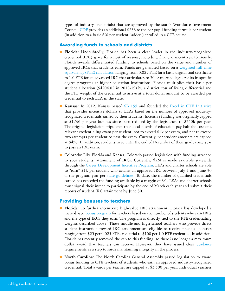types of industry credentials) that are approved by the state's Workforce Investment Council. [CDF](https://www.louisianabelieves.com/docs/default-source/jumpstart/guidelines-for-use-of-cdf-allocation.pdf?sfvrsn=9) provides an additional \$238 to the per pupil funding formula per student (in addition to a basic 6% per student "adder") enrolled in a CTE course.

#### **Awarding funds to schools and districts**

- **Florida:** Undoubtedly, Florida has been a clear leader in the industry-recognized credential (IRC) space for a host of reasons, including financial incentives. Currently, Florida awards differentiated funding to schools based on the value and number of approved IRCs that students earn. Funds are generated based on a [weighted full time](http://www.fldoe.org/academics/career-adult-edu/cape-secondary/cape-industry-cert-funding-list-current.stml) [equivalency \(FTE\) calculation](http://www.fldoe.org/academics/career-adult-edu/cape-secondary/cape-industry-cert-funding-list-current.stml) ranging from 0.025 FTE for a basic digital tool certificate to 1.0 FTE for an advanced IRC that articulates to 30 or more college credits in specific degree programs at higher education institutions. Florida multiplies their basic per student allocation (\$4204.02 in 2018-19) by a district cost of living differential and the FTE weight of the credential to arrive at a total dollar amount to be awarded per credential to each LEA in the state.
- **Kansas:** In 2012, Kansas passed [SB 155](http://kslegislature.org/li_2012/b2011_12/statute/072_000_0000_chapter/072_044_0000_article/072_044_0089_section/072_044_0089_k/) and founded the [Excel in CTE Initiative](https://www.kansasregents.org/workforce_development/excel_in_career_technical_education_initiative_senate_bill_155) that provides incentive dollars to LEAs based on the number of approved industryrecognized credentials earned by their students. Incentive funding was originally capped at \$1.5M per year but has since been reduced by the legislature to \$750k per year. The original legislation stipulated that local boards of education pay half the cost of a relevant credentialing exam per student, not to exceed \$1k per exam, and not to exceed two attempts per student to pass the exam. Currently, per student amounts are capped at \$450. In addition, students have until the end of December of their graduating year to pass an IRC exam.
- **Colorado:** Like Florida and Kansas, Colorado passed legislation with funding attached to spur students' attainment of IRCs. Currently, \$2M is made available statewide through the [Career Development Incentive Program.](https://www.cde.state.co.us/postsecondary/careersuccesspilotprogramfactsheet2016-17) LEAs and charter schools are able to "earn" \$1k per student who attains an approved IRC between July 1 and June 30 of the program year per [state guidelines](http://www.cde.state.co.us/postsecondary/CareerDevelopmentIncentiveProgramstateguidelines). To date, the number of qualified credentials earned has exceeded the funding available by a margin of 3:1. LEAs and charter schools must signal their intent to participate by the end of March each year and submit their reports of student IRC attainment by June 30.

#### **Providing bonuses to teachers**

- **Florida:** To further incentivize high-value IRC attainment, Florida has developed a merit-based [bonus program](http://www.fldoe.org/academics/career-adult-edu/cape-secondary/faq.stml) for teachers based on the number of students who earn IRCs and the type of IRCs they earn. The program is directly tied to the FTE credentialing weights described above. Those middle and high school teachers who provide direct student instruction toward IRC attainment are eligible to receive financial bonuses ranging from \$25 per 0.025 FTE credential to \$100 per 1.0 FTE credential. In addition, Florida has recently removed the cap to this funding, so there is no longer a maximum dollar award that teachers can receive. However, they have issued clear [guidance](http://www.fldoe.org/core/fileparse.php/8904/urlt/testadmin-cklist.pdf) requirements as a step towards maintaining integrity in the process.
- **North Carolina:** The North Carolina General Assembly passed legislation to award bonus funding to CTE teachers of students who earn an approved industry-recognized credential. Total awards per teacher are capped at \$3,500 per year. Individual teachers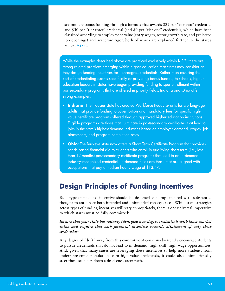accumulate bonus funding through a formula that awards \$25 per "tier two" credential and \$50 per "tier three" credential (and \$0 per "tier one" credential), which have been classified according to employment value (entry wages, sector growth rate, and projected job openings) and academic rigor, both of which are explained further in the state's annual [report](https://www.ncleg.gov/documentsites/committees/JLEOC/Reports%20Received/2017%20Reports%20Received/Industry%20Certifications-Credentials%20Teacher%20Bonus%20Pilot%20Program.pdf).

While the examples described above are practiced exclusively within K-12, there are strong related practices emerging within higher education that states may consider as they design funding incentives for non-degree credentials. Rather than covering the cost of credentialing exams specifically or providing bonus funding to schools, higher education leaders in states have begun providing funding to spur enrollment within postsecondary programs that are offered in priority fields. Indiana and Ohio offer strong examples:

- **Indiana:** The Hoosier state has created [Workforce Ready Grants](https://www.in.gov/che/4773.htm) for working-age adults that provide funding to cover tuition and mandatory fees for specific highvalue certificate programs offered through approved higher education institutions. [Eligible programs](https://www.nextleveljobs.org/Job-Seeker/Available-Job-Training) are those that culminate in postsecondary certificates that lead to jobs in the state's highest demand industries based on employer demand, wages, job placements, and program completion rates.
- **Ohio:** The Buckeye state now offers a [Short-Term Certificate Program](https://www.ohiohighered.org/content/short_term_certificate_program) that provides needs-based financial aid to students who enroll in qualifying short-term (i.e., less than 12 months) postsecondary certificate programs that lead to an in-demand industry-recognized credential. In-demand fields are those that are aligned with occupations that pay a median hourly wage of \$13.47.

## **Design Principles of Funding Incentives**

Each type of financial incentive should be designed and implemented with substantial thought to anticipate both intended and unintended consequences. While state strategies across types of funding incentives will vary appropriately, there is one universal imperative to which states must be fully committed:

#### *Ensure that your state has reliably identified non-degree credentials with labor market value and require that each financial incentive rewards attainment of only those credentials.*

Any degree of "drift" away from this commitment could inadvertently encourage students to pursue credentials that do not lead to in-demand, high-skill, high-wage opportunities. And, given that many states are leveraging these incentives to help more students from underrepresented populations earn high-value credentials, it could also unintentionally steer those students down a dead-end career path.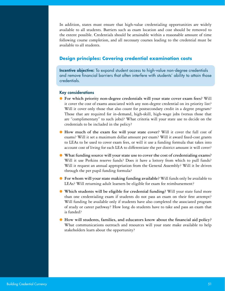In addition, states must ensure that high-value credentialing opportunities are widely available to all students. Barriers such as exam location and cost should be removed to the extent possible. Credentials should be attainable within a reasonable amount of time following course completion, and all necessary courses leading to the credential must be available to all students.

#### **Design principles: Covering credential examination costs**

Incentive objective: To expand student access to high-value non-degree credentials and remove financial barriers that often interfere with students' ability to attain those credentials.

#### Key considerations

- **For which priority non-degree credentials will your state cover exam fees?** Will it cover the cost of exams associated with any non-degree credential on its priority list? Will it cover only those that also count for postsecondary credit in a degree program? Those that are required for in-demand, high-skill, high-wage jobs (versus those that are "complimentary" to such jobs)? What criteria will your state use to decide on the credentials to be included in the policy?
- **How much of the exam fee will your state cover?** Will it cover the full cost of exams? Will it set a maximum dollar amount per exam? Will it award fixed-cost grants to LEAs to be used to cover exam fees, or will it use a funding formula that takes into account cost of living for each LEA to differentiate the per district amount it will cover?
- **What funding source will your state use to cover the cost of credentialing exams?** Will it use Perkins reserve funds? Does it have a lottery from which to pull funds? Will it request an annual appropriation from the General Assembly? Will it be driven through the per pupil funding formula?
- **For whom will your state making funding available?** Will funds only be available to LEAs? Will returning adult learners be eligible for exam fee reimbursement?
- **Which students will be eligible for credential funding?** Will your state fund more than one credentialing exam if students do not pass an exam on their first attempt? Will funding be available only if students have also completed the associated program of study or career pathway? How long do students have to take and pass an exam that is funded?
- **How will students, families, and educators know about the financial aid policy?** What communications outreach and resources will your state make available to help stakeholders learn about the opportunity?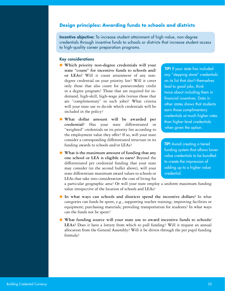#### **Design principles: Awarding funds to schools and districts**

Incentive objective: To increase student attainment of high-value, non-degree credentials through incentive funds to schools or districts that increase student access to high-quality career preparation programs.

#### Key considerations

- **Which priority non-degree credentials will your state "count" for incentive funds to schools and/ or LEAs?** Will it count attainment of any nondegree credential on your priority list? Will it cover only those that also count for postsecondary credit in a degree program? Those that are required for indemand, high-skill, high-wage jobs (versus those that are "complimentary" to such jobs)? What criteria will your state use to decide which credentials will be included in the policy?
- **What dollar amount will be awarded per credential?** Has your state differentiated or "weighted" credentials on its priority list according to the employment value they offer? If so, will your state consider a corresponding differentiated structure in its funding awards to schools and/or LEAs?
- **What is the maximum amount of funding that any one school or LEA is eligible to earn?** Beyond the differentiated per credential funding that your state may consider (in the second bullet above), will your state differentiate maximum award values to schools or LEAs that take into consideration the cost of living for

TIP! If your state has included any "stepping stone" credentials on its list that don't themselves lead to good jobs, think twice about including them in financial incentives. Data in other states shows that students earn those complimentary credentials at much higher rates than higher-level credentials when given the option.

TIP! Avoid creating a tiered funding system that allows lower value credentials to be bundled to create the impression of adding up to a higher value credential.

a particular geographic area? Or will your state employ a uniform maximum funding value irrespective of the location of schools and LEAs?

- **In what ways can schools and districts spend the incentive dollars?** In what categories can funds be spent, e.g., supporting teacher training; improving facilities or equipment; purchasing materials; providing transportation for students? In what ways can the funds not be spent?
- **What funding source will your state use to award incentive funds to schools/ LEAs?** Does it have a lottery from which to pull funding? Will it request an annual allocation from the General Assembly? Will it be driven through the per pupil funding formula?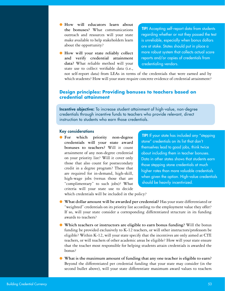- **How will educators learn about the bonuses?** What communications outreach and resources will your state make available to help stakeholders learn about the opportunity?
- **How will your state reliably collect and verify credential attainment data?** What reliable method will your state use to collect verifiable data (i.e.,

TIP! Accepting self-report data from students regarding whether or not they passed the test is unreliable, especially when bonus dollars are at stake. States should put in place a more robust system that collects actual score reports and/or copies of credentials from credentialing vendors.

not self-report data) from LEAs in terms of the credentials that were earned and by which students? How will your state require concrete evidence of credential attainment?

#### **Design principles: Providing bonuses to teachers based on credential attainment**

Incentive objective: To increase student attainment of high-value, non-degree credentials through incentive funds to teachers who provide relevant, direct instruction to students who earn those credentials.

#### Key considerations

● **For which priority non-degree credentials will your state award bonuses to teachers?** Will it count attainment of any non-degree credential on your priority list? Will it cover only those that also count for postsecondary credit in a degree program? Those that are required for in-demand, high-skill, high-wage jobs (versus those that are "complimentary" to such jobs)? What criteria will your state use to decide

TIP! If your state has included any "stepping stone" credentials on its list that don't themselves lead to good jobs, think twice about including them in teacher bonuses. Data in other states shows that students earn those stepping stone credentials at much higher rates than more valuable credentials when given the option. High-value credentials should be heavily incentivized.

which credentials will be included in the policy?

- What dollar amount will be awarded per credential? Has your state differentiated or "weighted" credentials on its priority list according to the employment value they offer? If so, will your state consider a corresponding differentiated structure in its funding awards to teachers?
- **Which teachers or instructors are eligible to earn bonus funding?** Will the bonus funding be provided exclusively to K-12 teachers, or will other instructors/professors be eligible? Within K-12, will your state specify that the incentives are only aimed at CTE teachers, or will teachers of other academic areas be eligible? How will your state ensure that the teacher most responsible for helping students attain credentials is awarded the bonus?
- **What is the maximum amount of funding that any one teacher is eligible to earn?**  Beyond the differentiated per credential funding that your state may consider (in the second bullet above), will your state differentiate maximum award values to teachers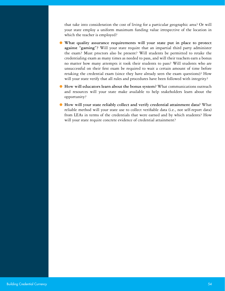that take into consideration the cost of living for a particular geographic area? Or will your state employ a uniform maximum funding value irrespective of the location in which the teacher is employed?

- **What quality assurance requirements will your state put in place to protect against "gaming"?** Will your state require that an impartial third party administer the exam? Must proctors also be present? Will students be permitted to retake the credentialing exam as many times as needed to pass, and will their teachers earn a bonus no matter how many attempts it took their students to pass? Will students who are unsuccessful on their first exam be required to wait a certain amount of time before retaking the credential exam (since they have already seen the exam questions)? How will your state verify that all rules and procedures have been followed with integrity?
- **How will educators learn about the bonus system?** What communications outreach and resources will your state make available to help stakeholders learn about the opportunity?
- **How will your state reliably collect and verify credential attainment data?** What reliable method will your state use to collect verifiable data (i.e., not self-report data) from LEAs in terms of the credentials that were earned and by which students? How will your state require concrete evidence of credential attainment?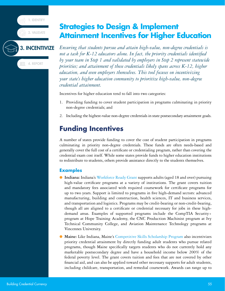1. IDENTIFY

2. VALIDAT

## <span id="page-54-0"></span>**Strategies to Design & Implement Attainment Incentives for Higher Education**

#### 3. INCENTIVIZE

**GE 4. REPORT** 

*Ensuring that students pursue and attain high-value, non-degree credentials is not a task for K-12 educators alone. In fact, the priority credentials identified by your team in Step 1 and validated by employers in Step 2 represent statewide priorities; and attainment of these credentials likely spans across K-12, higher education, and even employers themselves. This tool focuses on incentivizing your state's higher education community to prioritize high-value, non-degree credential attainment.*

Incentives for higher education tend to fall into two categories:

- 1. Providing funding to cover student participation in programs culminating in priority non-degree credentials; and
- 2. Including the highest-value non-degree credentials in state postsecondary attainment goals.

## **Funding Incentives**

A number of states provide funding to cover the cost of student participation in programs culminating in priority non-degree credentials. These funds are often needs-based and generally cover the full cost of a certificate or credentialing program, rather than covering the credential exam cost itself. While some states provide funds to higher education institutions to redistribute to students, others provide assistance directly to the students themselves.

#### **Examples**

- **Indiana:** Indiana's [Workforce Ready Grant](https://www.in.gov/che/4773.htm) supports adults (aged 18 and over) pursuing high-value certificate programs at a variety of institutions. The grant covers tuition and mandatory fees associated with required coursework for certificate programs for up to two years. Support is limited to programs in five high-demand sectors: advanced manufacturing, building and construction, health sciences, IT and business services, and transportation and logistics. Programs may be credit-bearing or non-credit-bearing, though all are aligned to a certificate or credential necessary for jobs in these highdemand areas. Examples of supported programs include the CompTIA Security+ program at Hope Training Academy, the CNC Production Machinist program at Ivy Technical Community College, and Aviation Maintenance Technology programs at Vincennes University.
- **Maine:** Like Indiana, Maine's [Competitive Skills Scholarship Program](https://www.mainecareercenter.gov/cssp.shtml) also incentivizes priority credential attainment by directly funding adult students who pursue related programs, though Maine specifically targets students who do not currently hold any marketable postsecondary degree and have a household income below 200% of the federal poverty level. The grant covers tuition and fees that are not covered by other financial aid, and can also be applied toward other necessary supports for adult students, including childcare, transportation, and remedial coursework. Awards can range up to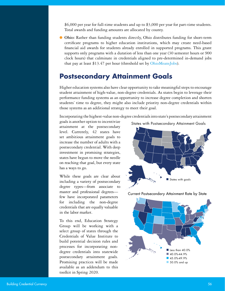\$6,000 per year for full-time students and up to \$3,000 per year for part-time students. Total awards and funding amounts are allocated by county.

● Ohio: Rather than funding students directly, Ohio distributes funding for short-term certificate programs to higher education institutions, which may create need-based financial aid awards for students already enrolled in supported programs. This grant supports only programs with a duration of less than one year (30 semester hours or 900 clock hours) that culminate in credentials aligned to pre-determined in-demand jobs that pay at least \$13.47 per hour (threshold set by [OhioMeansJobs\)](https://www.ohiohighered.org/content/short_term_certificate_program).

## **Postsecondary Attainment Goals**

Higher education systems also have clear opportunity to take meaningful steps to encourage student attainment of high-value, non-degree credentials. As states begin to leverage their performance funding systems as an opportunity to increase degree completion and shorten students' time to degree, they might also include priority non-degree credentials within those systems as an additional strategy to meet their goal.

Incorporating the highest-value non-degree credentials into state's postsecondary attainment

goals is another option to incentivize attainment at the postsecondary level. Currently, 42 states have set ambitious attainment goals to increase the number of adults with a postsecondary credential. With deep investment in promising strategies, states have begun to move the needle on reaching that goal, but every state has a ways to go.

While these goals are clear about including a variety of postsecondary degree types—from associate to master and professional degrees few have incorporated parameters for including the non-degree credentials that are equally valuable in the labor market.

To this end, Education Strategy Group will be working with a select group of states through the Credentials of Value Institute to build potential decision rules and processes for incorporating nondegree credentials into statewide postsecondary attainment goals. Promising practices will be made available as an addendum to this toolkit in Spring 2020.

States with Postsecondary Attainment Goals





Current Postsecondary Attainment Rate by State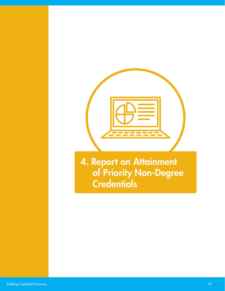

<span id="page-56-0"></span>4. Report on Attainment of Priority Non-Degree **Credentials**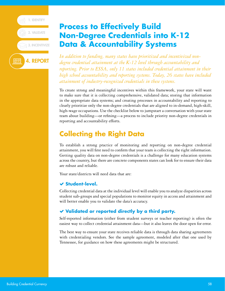

## <span id="page-57-0"></span>**Process to Effectively Build Non-Degree Credentials into K-12 Data & Accountability Systems**

*In addition to funding, many states have prioritized and incentivized nondegree credential attainment at the K-12 level through accountability and reporting. Prior to ESSA, only 11 states included credential attainment in their high school accountability and reporting systems. Today, 26 states have included attainment of industry-recognized credentials in these systems.*

To create strong and meaningful incentives within this framework, your state will want to make sure that it is collecting comprehensive, validated data; storing that information in the appropriate data systems; and creating processes in accountability and reporting to clearly prioritize only the non-degree credentials that are aligned to in-demand, high-skill, high-wage occupations. Use the checklist below to jumpstart a conversation with your state team about building—or refining—a process to include priority non-degree credentials in reporting and accountability efforts.

## **Collecting the Right Data**

To establish a strong practice of monitoring and reporting on non-degree credential attainment, you will first need to confirm that your team is collecting the right information. Getting quality data on non-degree credentials is a challenge for many education systems across the country, but there are concrete components states can look for to ensure their data are robust and reliable.

Your state/districts will need data that are:

#### **Student-level.**

Collecting credential data at the individual level will enable you to analyze disparities across student sub-groups and special populations to monitor equity in access and attainment and will better enable you to validate the data's accuracy.

#### **Validated or reported directly by a third party.**

Self-reported information (either from student surveys or teacher reporting) is often the easiest way to collect credential attainment data—but it also leaves the door open for error.

The best way to ensure your state receives reliable data is through data sharing agreements with credentialing vendors. See the sample agreement, modeled after that one used by Tennessee, for guidance on how these agreements might be structured.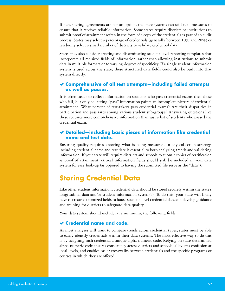If data sharing agreements are not an option, the state systems can still take measures to ensure that it receives reliable information. Some states require districts or institutions to submit proof of attainment (often in the form of a copy of the credential) as part of an audit process. States may select a percentage of credentials (generally between 10% and 20%) or randomly select a small number of districts to validate credential data.

States may also consider creating and disseminating student-level reporting templates that incorporate all required fields of information, rather than allowing institutions to submit data in multiple formats or to varying degrees of specificity. If a single student information system is used across the state, these structured data fields could also be built into that system directly.

#### **Comprehensive of all test attempts—including failed attempts as well as passes.**

It is often easier to collect information on students who pass credential exams than those who fail, but only collecting "pass" information paints an incomplete picture of credential attainment. What percent of test-takers pass credential exams? Are their disparities in participation and pass rates among various student sub-groups? Answering questions like these requires more comprehensive information than just a list of students who passed the credential exam.

#### **Detailed—including basic pieces of information like credential name and test date.**

Ensuring quality requires knowing what is being measured. In any collection strategy, including credential name and test date is essential to both analyzing trends and validating information. If your state will require districts and schools to submit copies of certification as proof of attainment, critical information fields should still be included in your data system for easy look-up (as opposed to having the submitted file serve as the "data").

## **Storing Credential Data**

Like other student information, credential data should be stored securely within the state's longitudinal data and/or student information system(s). To do this, your state will likely have to create customized fields to house student-level credential data and develop guidance and training for districts to safeguard data quality.

Your data system should include, at a minimum, the following fields:

#### **Credential name and code.**

As most analyses will want to compare trends across credential types, states must be able to easily identify credentials within their data systems. The most effective way to do this is by assigning each credential a unique alpha-numeric code. Relying on state-determined alpha-numeric code ensures consistency across districts and schools, alleviates confusion at local levels, and enables easier crosswalks between credentials and the specific programs or courses in which they are offered.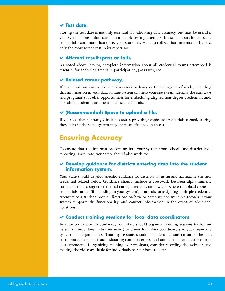#### **Test date.**

Storing the test date is not only essential for validating data accuracy, but may be useful if your system stores information on multiple testing attempts. If a student sits for the same credential exam more than once, your state may want to collect that information but use only the most recent test in its reporting.

#### **Attempt result (pass or fail).**

As noted above, having complete information about all credential exams attempted is essential for analyzing trends in participation, pass rates, etc.

#### **Related career pathway.**

If credentials are earned as part of a career pathway or CTE program of study, including this information in your data storage system can help your state team identify the pathways and programs that offer opportunities for embedding aligned non-degree credentials and/ or scaling student attainment of those credentials.

#### **(Recommended) Space to upload a file.**

If your validation strategy includes states providing copies of credentials earned, storing those files in the same system may increase efficiency in access.

### **Ensuring Accuracy**

To ensure that the information coming into your system from school- and district-level reporting is accurate, your state should also work to:

#### **Develop guidance for districts entering data into the student information system.**

Your state should develop specific guidance for districts on using and navigating the new credential-related fields. Guidance should include a crosswalk between alpha-numeric codes and their assigned credential name, directions on how and where to upload copies of credentials earned (if including in your system), protocols for assigning multiple credential attempts to a student profile, directions on how to batch upload multiple records if your system supports the functionality, and contact information in the event of additional questions.

#### **Conduct training sessions for local data coordinators.**

In addition to written guidance, your state should organize training sessions (either inperson training days and/or webinars) to orient local data coordinators to your reporting system and requirements. Training sessions should include a demonstration of the data entry process, tips for troubleshooting common errors, and ample time for questions from local attendees. If organizing training over webinars, consider recording the webinars and making the video available for individuals to refer back to later.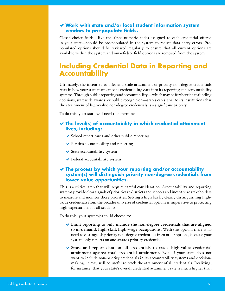#### **Work with state and/or local student information system vendors to pre-populate fields.**

Closed-choice fields—like the alpha-numeric codes assigned to each credential offered in your state—should be pre-populated in the system to reduce data entry errors. Prepopulated options should be reviewed regularly to ensure that all current options are available within the system and out-of-date field options are removed from the system.

## **Including Credential Data in Reporting and Accountability**

Ultimately, the incentive to offer and scale attainment of priority non-degree credentials rests in how your state team embeds credentialing data into its reporting and accountability systems. Through public reporting and accountability—which may be further tied to funding decisions, statewide awards, or public recognition—states can signal to its institutions that the attainment of high-value non-degree credentials is a significant priority.

To do this, your state will need to determine:

#### **The level(s) of accountability in which credential attainment lives, including:**

- $\triangleright$  School report cards and other public reporting
- ◆ Perkins accountability and reporting
- State accountability system
- Federal accountability system

#### **The process by which your reporting and/or accountability system(s) will distinguish priority non-degree credentials from lower-value opportunities.**

This is a critical step that will require careful consideration. Accountability and reporting systems provide clear signals of priorities to districts and schools and incentivize stakeholders to measure and monitor those priorities. Setting a high bar by clearly distinguishing highvalue credentials from the broader universe of credential options is imperative to protecting high expectations for all students.

To do this, your system(s) could choose to:

- **Limit reporting to only include the non-degree credentials that are aligned to in-demand, high-skill, high-wage occupations.** With this option, there is no need to distinguish priority non-degree credentials from other options, because your system only reports on and awards priority credentials.
- **Store and report data on all credentials to track high-value credential attainment against total credential attainment.** Even if your state does not want to include non-priority credentials in its accountability systems and decisionmaking, it may still be useful to track the attainment of all credentials. Realizing, for instance, that your state's overall credential attainment rate is much higher than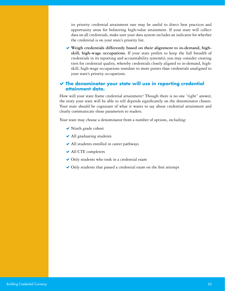its priority credential attainment rate may be useful to direct best practices and opportunity areas for bolstering high-value attainment. If your state will collect data on all credentials, make sure your data system includes an indicator for whether the credential is on your state's priority list.

 **Weigh credentials differently based on their alignment to in-demand, highskill, high-wage occupations.** If your state prefers to keep the full breadth of credentials in its reporting and accountability system(s), you may consider creating tiers for credential quality, whereby credentials closely aligned to in-demand, highskill, high-wage occupations translate to more points than credentials unaligned to your state's priority occupations.

#### **The denominator your state will use in reporting credential attainment data.**

How will your state frame credential attainment? Though there is no one "right" answer, the story your state will be able to tell depends significantly on the denominator chosen. Your state should be cognizant of what it wants to say about credential attainment and clearly communicate those parameters to readers.

Your state may choose a denominator from a number of options, including:

- ◆ Ninth grade cohort
- ◆ All graduating students
- ◆ All students enrolled in career pathways
- ◆ All CTE completers
- ◆ Only students who took in a credential exam
- Only students that passed a credential exam on the first attempt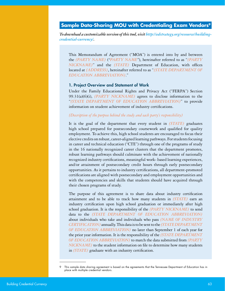#### <span id="page-62-0"></span>**Sample Data-Sharing MOU with Credentialing Exam Vendors9**

*To download a customizable version of this tool, visit [http://edstrategy.org/resource/building](http://edstrategy.org/resource/building-credential-currency/)[credential-currency/](http://edstrategy.org/resource/building-credential-currency/).*

This Memorandum of Agreement ("MOA") is entered into by and between the *[PARTY NAME]* (*"PARTY NAME"*), hereinafter referred to as "*[PARTY NICKNAME]*" and the *[STATE]* Department of Education, with offices located at *[ADDRESS]*, hereinafter referred to as "*[STATE DEPARTMENT OF EDUCATION ABBREVIATION]*."

#### 1. Project Overview and Statement of Work

Under the Family Educational Rights and Privacy Act ("FERPA") Section 99.31(a)(6)(i), *[PARTY NICKNAME]* agrees to disclose information to the "*[STATE DEPARTMENT OF EDUCATION ABBREVIATION]*" to provide information on student achievement of industry certifications.

#### *[Description of the purpose behind the study and each party's responsibility]*

It is the goal of the department that every student in *[STATE]* graduates high school prepared for postsecondary coursework and qualified for quality employment. To achieve this, high school students are encouraged to focus their elective credits on robust, career-aligned learning pathways. For students focusing in career and technical education ("CTE") through one of the programs of study in the 16 nationally recognized career clusters that the department promotes, robust learning pathways should culminate with the achievement of nationally recognized industry certifications, meaningful work- based learning experiences, and/or attainment of postsecondary credit hours through early postsecondary opportunities. As it pertains to industry certifications, all department-promoted certifications are aligned with postsecondary and employment opportunities and with the competencies and skills that students should have acquired through their chosen programs of study.

The purpose of this agreement is to share data about industry certification attainment and to be able to track how many students in *[STATE]* earn an industry certification upon high school graduation or immediately after high school graduation. It is the responsibility of the *[PARTY NICKNAME]* to send data to the *[STATE DEPARTMENT OF EDUCATION ABBREVIATION]* about individuals who take and individuals who pass *[NAME OF INDUSTRY CERTIFICATION]*annually. This data is to be sent to the*[STATE DEPARTMENT OF EDUCATION ABBREVIATION]* no later than September 1 of each year for the prior year information. It is the responsibility of the *[STATE DEPARTMENT OF EDUCATION ABBREVIATION]* to match the data submitted from *[PARTY NICKNAME]* to the student information on file to determine how many students in *[STATE]* graduate with an industry certification.

This sample data sharing agreement is based on the agreements that the Tennessee Department of Education has in place with multiple credential vendors.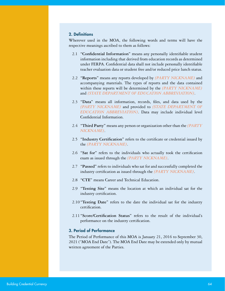#### 2. Definitions

Wherever used in the MOA, the following words and terms will have the respective meanings ascribed to them as follows:

- 2.1 **"Confidential Information"** means any personally identifiable student information including that derived from education records as determined under FERPA. Confidential data shall not include personally identifiable teacher evaluation data or student free and/or reduced price lunch status.
- 2.2 **"Reports"** means any reports developed by *[PARTY NICKNAME]* and accompanying materials. The types of reports and the data contained within these reports will be determined by the *[PARTY NICKNAME]* and *[STATE DEPARTMENT OF EDUCATION ABBREVIATION]*.
- 2.3 **"Data"** means all information, records, files, and data used by the *[PARTY NICKNAME]* and provided to *[STATE DEPARTMENT OF EDUCATION ABBREVIATION]*. Data may include individual level Confidential Information.
- 2.4 **"Third Party"** means any person or organization other than the *[PARTY NICKNAME]*.
- 2.5 **"Industry Certification"** refers to the certificate or credential issued by the *[PARTY NICKNAME]*.
- 2.6 **"Sat for"** refers to the individuals who actually took the certification exam as issued through the *[PARTY NICKNAME]*.
- 2.7 **"Passed"** refers to individuals who sat for and successfully completed the industry certification as issued through the *[PARTY NICKNAME]*.
- 2.8 **"CTE"** means Career and Technical Education.
- 2.9 **"Testing Site"** means the location at which an individual sat for the industry certification.
- 2.10**"Testing Date"** refers to the date the individual sat for the industry certification.
- 2.11**"Score/Certification Status"** refers to the result of the individual's performance on the industry certification.

#### 3. Period of Performance

The Period of Performance of this MOA is January 21, 2016 to September 30, 2021 ("MOA End Date"). The MOA End Date may be extended only by mutual written agreement of the Parties.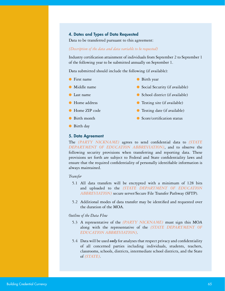#### 4. Dates and Types of Data Requested

Data to be transferred pursuant to this agreement:

#### *[Description of the data and data variable to be requested]*

Industry certification attainment of individuals from September 2 to September 1 of the following year to be submitted annually on September 1.

Data submitted should include the following (if available):

- First name
- Middle name
- Last name
- Home address
- Home ZIP code
- Birth month
- Birth day

#### 5. Data Agreement

The *[PARTY NICKNAME]* agrees to send confidential data to *[STATE DEPARTMENT OF EDUCATION ABBREVIATION]*, and to observe the following security provisions when transferring and reporting data. These provisions set forth are subject to Federal and State confidentiality laws and ensure that the required confidentiality of personally identifiable information is always maintained.

#### *Transfer*

- 5.1 All data transfers will be encrypted with a minimum of 128 bits and uploaded to the *[STATE DEPARTMENT OF EDUCATION ABBREVIATION]* secure server/Secure File Transfer Pathway (SFTP).
- 5.2 Additional modes of data transfer may be identified and requested over the duration of the MOA.

#### *Outline of the Data Flow*

- 5.3 A representative of the *[PARTY NICKNAME]* must sign this MOA along with the representative of the *[STATE DEPARTMENT OF EDUCATION ABBREVIATION].*
- 5.4 Data will be used *only* for analyses that respect privacy and confidentiality of all concerned parties including individuals, students, teachers, classrooms, schools, districts, intermediate school districts, and the State of *[STATE].*

● School district (if available)

● Social Security (if available)

● Birth year

- Testing site (if available)
- Testing date (if available)
- Score/certification status